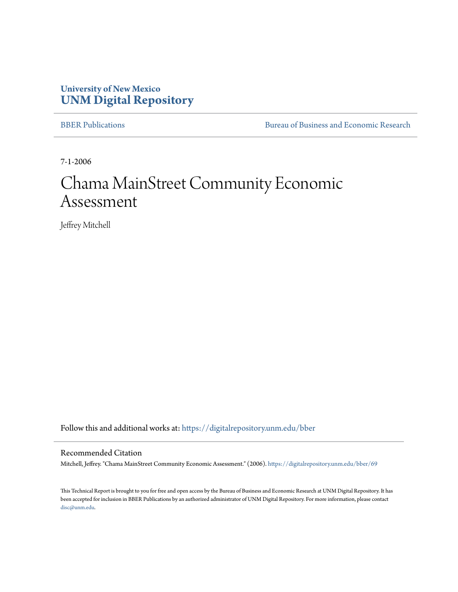# **University of New Mexico [UNM Digital Repository](https://digitalrepository.unm.edu?utm_source=digitalrepository.unm.edu%2Fbber%2F69&utm_medium=PDF&utm_campaign=PDFCoverPages)**

[BBER Publications](https://digitalrepository.unm.edu/bber?utm_source=digitalrepository.unm.edu%2Fbber%2F69&utm_medium=PDF&utm_campaign=PDFCoverPages) [Bureau of Business and Economic Research](https://digitalrepository.unm.edu/business_economic_research?utm_source=digitalrepository.unm.edu%2Fbber%2F69&utm_medium=PDF&utm_campaign=PDFCoverPages)

7-1-2006

# Chama MainStreet Community Economic Assessment

Jeffrey Mitchell

Follow this and additional works at: [https://digitalrepository.unm.edu/bber](https://digitalrepository.unm.edu/bber?utm_source=digitalrepository.unm.edu%2Fbber%2F69&utm_medium=PDF&utm_campaign=PDFCoverPages)

#### Recommended Citation

Mitchell, Jeffrey. "Chama MainStreet Community Economic Assessment." (2006). [https://digitalrepository.unm.edu/bber/69](https://digitalrepository.unm.edu/bber/69?utm_source=digitalrepository.unm.edu%2Fbber%2F69&utm_medium=PDF&utm_campaign=PDFCoverPages)

This Technical Report is brought to you for free and open access by the Bureau of Business and Economic Research at UNM Digital Repository. It has been accepted for inclusion in BBER Publications by an authorized administrator of UNM Digital Repository. For more information, please contact [disc@unm.edu](mailto:disc@unm.edu).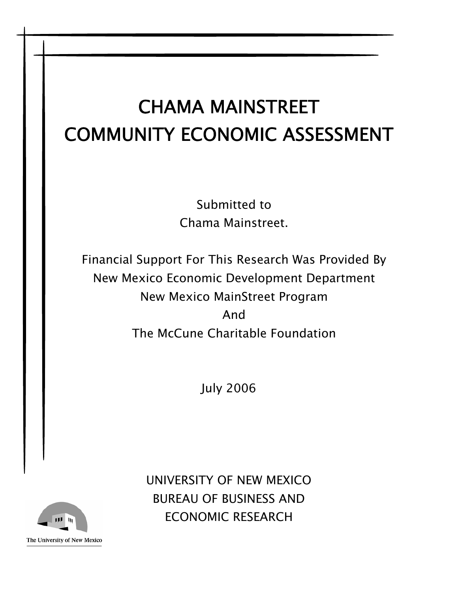# CHAMA MAINSTREET COMMUNITY ECONOMIC ASSESSMENT

Submitted to Chama Mainstreet.

Financial Support For This Research Was Provided By New Mexico Economic Development Department New Mexico MainStreet Program And The McCune Charitable Foundation

July 2006



UNIVERSITY OF NEW MEXICO BUREAU OF BUSINESS AND ECONOMIC RESEARCH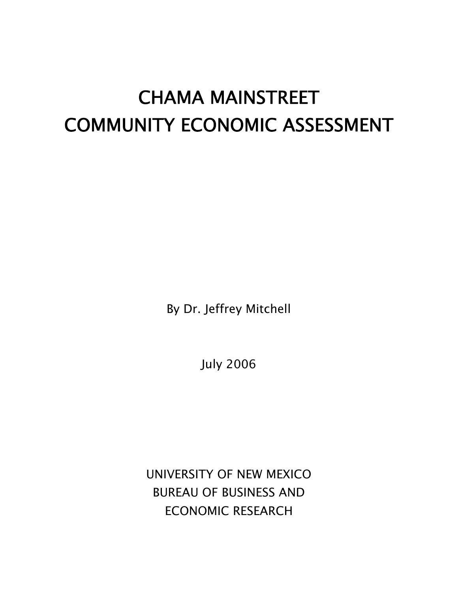# CHAMA MAINSTREET COMMUNITY ECONOMIC ASSESSMENT

By Dr. Jeffrey Mitchell

July 2006

UNIVERSITY OF NEW MEXICO BUREAU OF BUSINESS AND ECONOMIC RESEARCH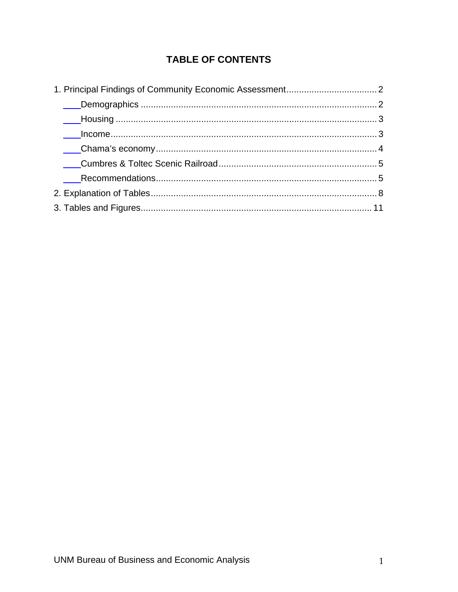# TABLE OF CONTENTS

| Example of the contract of the contract of the contract of the contract of the contract of the contract of the contract of the contract of the contract of the contract of the contract of the contract of the contract of the |  |
|--------------------------------------------------------------------------------------------------------------------------------------------------------------------------------------------------------------------------------|--|
|                                                                                                                                                                                                                                |  |
|                                                                                                                                                                                                                                |  |
|                                                                                                                                                                                                                                |  |
|                                                                                                                                                                                                                                |  |
|                                                                                                                                                                                                                                |  |
|                                                                                                                                                                                                                                |  |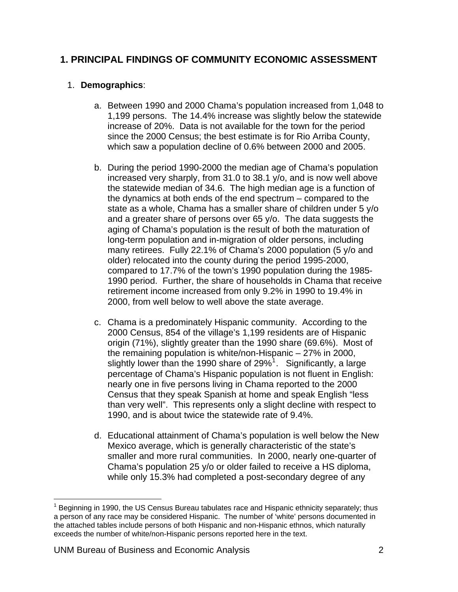### <span id="page-4-0"></span>**1. PRINCIPAL FINDINGS OF COMMUNITY ECONOMIC ASSESSMENT**

#### 1. **Demographics**:

- a. Between 1990 and 2000 Chama's population increased from 1,048 to 1,199 persons. The 14.4% increase was slightly below the statewide increase of 20%. Data is not available for the town for the period since the 2000 Census; the best estimate is for Rio Arriba County, which saw a population decline of 0.6% between 2000 and 2005.
- b. During the period 1990-2000 the median age of Chama's population increased very sharply, from 31.0 to 38.1 y/o, and is now well above the statewide median of 34.6. The high median age is a function of the dynamics at both ends of the end spectrum – compared to the state as a whole, Chama has a smaller share of children under 5 y/o and a greater share of persons over 65 y/o. The data suggests the aging of Chama's population is the result of both the maturation of long-term population and in-migration of older persons, including many retirees. Fully 22.1% of Chama's 2000 population (5 y/o and older) relocated into the county during the period 1995-2000, compared to 17.7% of the town's 1990 population during the 1985- 1990 period. Further, the share of households in Chama that receive retirement income increased from only 9.2% in 1990 to 19.4% in 2000, from well below to well above the state average.
- c. Chama is a predominately Hispanic community. According to the 2000 Census, 854 of the village's 1,199 residents are of Hispanic origin (71%), slightly greater than the 1990 share (69.6%). Most of the remaining population is white/non-Hispanic – 27% in 2000, slightly lower than the [1](#page-4-1)990 share of 29%<sup>1</sup>. Significantly, a large percentage of Chama's Hispanic population is not fluent in English: nearly one in five persons living in Chama reported to the 2000 Census that they speak Spanish at home and speak English "less than very well". This represents only a slight decline with respect to 1990, and is about twice the statewide rate of 9.4%.
- d. Educational attainment of Chama's population is well below the New Mexico average, which is generally characteristic of the state's smaller and more rural communities. In 2000, nearly one-quarter of Chama's population 25 y/o or older failed to receive a HS diploma, while only 15.3% had completed a post-secondary degree of any

<span id="page-4-1"></span> <sup>1</sup> Beginning in 1990, the US Census Bureau tabulates race and Hispanic ethnicity separately; thus a person of any race may be considered Hispanic. The number of 'white' persons documented in the attached tables include persons of both Hispanic and non-Hispanic ethnos, which naturally exceeds the number of white/non-Hispanic persons reported here in the text.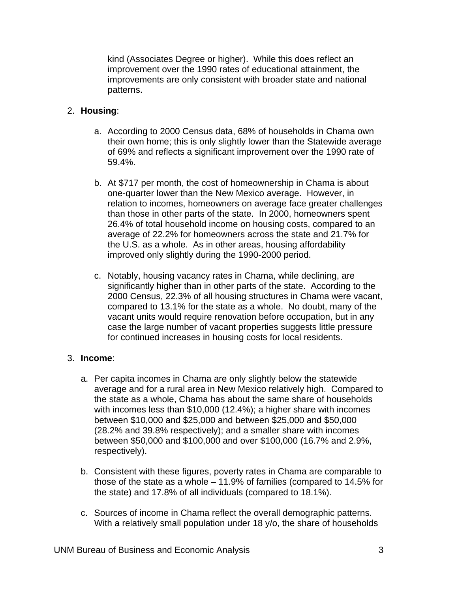<span id="page-5-0"></span>kind (Associates Degree or higher). While this does reflect an improvement over the 1990 rates of educational attainment, the improvements are only consistent with broader state and national patterns.

#### 2. **Housing**:

- a. According to 2000 Census data, 68% of households in Chama own their own home; this is only slightly lower than the Statewide average of 69% and reflects a significant improvement over the 1990 rate of 59.4%.
- b. At \$717 per month, the cost of homeownership in Chama is about one-quarter lower than the New Mexico average. However, in relation to incomes, homeowners on average face greater challenges than those in other parts of the state. In 2000, homeowners spent 26.4% of total household income on housing costs, compared to an average of 22.2% for homeowners across the state and 21.7% for the U.S. as a whole. As in other areas, housing affordability improved only slightly during the 1990-2000 period.
- c. Notably, housing vacancy rates in Chama, while declining, are significantly higher than in other parts of the state. According to the 2000 Census, 22.3% of all housing structures in Chama were vacant, compared to 13.1% for the state as a whole. No doubt, many of the vacant units would require renovation before occupation, but in any case the large number of vacant properties suggests little pressure for continued increases in housing costs for local residents.

#### 3. **Income**:

- a. Per capita incomes in Chama are only slightly below the statewide average and for a rural area in New Mexico relatively high. Compared to the state as a whole, Chama has about the same share of households with incomes less than \$10,000 (12.4%); a higher share with incomes between \$10,000 and \$25,000 and between \$25,000 and \$50,000 (28.2% and 39.8% respectively); and a smaller share with incomes between \$50,000 and \$100,000 and over \$100,000 (16.7% and 2.9%, respectively).
- b. Consistent with these figures, poverty rates in Chama are comparable to those of the state as a whole – 11.9% of families (compared to 14.5% for the state) and 17.8% of all individuals (compared to 18.1%).
- c. Sources of income in Chama reflect the overall demographic patterns. With a relatively small population under 18 y/o, the share of households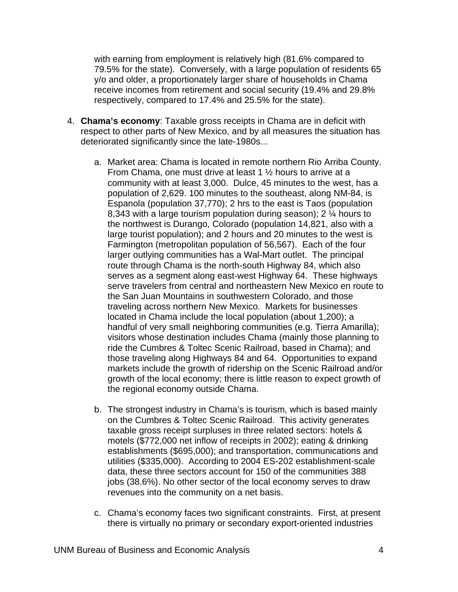<span id="page-6-0"></span>with earning from employment is relatively high (81.6% compared to 79.5% for the state). Conversely, with a large population of residents 65 y/o and older, a proportionately larger share of households in Chama receive incomes from retirement and social security (19.4% and 29.8% respectively, compared to 17.4% and 25.5% for the state).

- 4. **Chama's economy**: Taxable gross receipts in Chama are in deficit with respect to other parts of New Mexico, and by all measures the situation has deteriorated significantly since the late-1980s...
	- a. Market area: Chama is located in remote northern Rio Arriba County. From Chama, one must drive at least 1 ½ hours to arrive at a community with at least 3,000. Dulce, 45 minutes to the west, has a population of 2,629. 100 minutes to the southeast, along NM-84, is Espanola (population 37,770); 2 hrs to the east is Taos (population 8,343 with a large tourism population during season); 2 ¼ hours to the northwest is Durango, Colorado (population 14,821, also with a large tourist population); and 2 hours and 20 minutes to the west is Farmington (metropolitan population of 56,567). Each of the four larger outlying communities has a Wal-Mart outlet. The principal route through Chama is the north-south Highway 84, which also serves as a segment along east-west Highway 64. These highways serve travelers from central and northeastern New Mexico en route to the San Juan Mountains in southwestern Colorado, and those traveling across northern New Mexico. Markets for businesses located in Chama include the local population (about 1,200); a handful of very small neighboring communities (e.g. Tierra Amarilla); visitors whose destination includes Chama (mainly those planning to ride the Cumbres & Toltec Scenic Railroad, based in Chama); and those traveling along Highways 84 and 64. Opportunities to expand markets include the growth of ridership on the Scenic Railroad and/or growth of the local economy; there is little reason to expect growth of the regional economy outside Chama.
	- b. The strongest industry in Chama's is tourism, which is based mainly on the Cumbres & Toltec Scenic Railroad. This activity generates taxable gross receipt surpluses in three related sectors: hotels & motels (\$772,000 net inflow of receipts in 2002); eating & drinking establishments (\$695,000); and transportation, communications and utilities (\$335,000). According to 2004 ES-202 establishment-scale data, these three sectors account for 150 of the communities 388 jobs (38.6%). No other sector of the local economy serves to draw revenues into the community on a net basis.
	- c. Chama's economy faces two significant constraints. First, at present there is virtually no primary or secondary export-oriented industries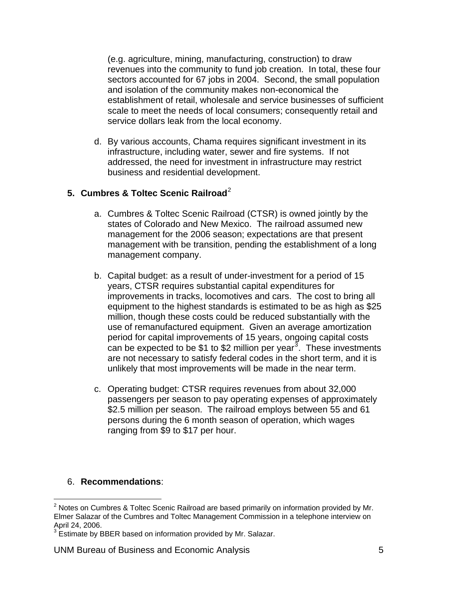<span id="page-7-0"></span>(e.g. agriculture, mining, manufacturing, construction) to draw revenues into the community to fund job creation. In total, these four sectors accounted for 67 jobs in 2004. Second, the small population and isolation of the community makes non-economical the establishment of retail, wholesale and service businesses of sufficient scale to meet the needs of local consumers; consequently retail and service dollars leak from the local economy.

d. By various accounts, Chama requires significant investment in its infrastructure, including water, sewer and fire systems. If not addressed, the need for investment in infrastructure may restrict business and residential development.

#### **5. Cumbres & Toltec Scenic Railroad**<sup>[2](#page-7-0)</sup>

- a. Cumbres & Toltec Scenic Railroad (CTSR) is owned jointly by the states of Colorado and New Mexico. The railroad assumed new management for the 2006 season; expectations are that present management with be transition, pending the establishment of a long management company.
- b. Capital budget: as a result of under-investment for a period of 15 years, CTSR requires substantial capital expenditures for improvements in tracks, locomotives and cars. The cost to bring all equipment to the highest standards is estimated to be as high as \$25 million, though these costs could be reduced substantially with the use of remanufactured equipment. Given an average amortization period for capital improvements of 15 years, ongoing capital costs can be expected to be \$1 to \$2 million per year<sup>[3](#page-7-0)</sup>. These investments are not necessary to satisfy federal codes in the short term, and it is unlikely that most improvements will be made in the near term.
- c. Operating budget: CTSR requires revenues from about 32,000 passengers per season to pay operating expenses of approximately \$2.5 million per season. The railroad employs between 55 and 61 persons during the 6 month season of operation, which wages ranging from \$9 to \$17 per hour.

#### 6. **Recommendations**:

  $2$  Notes on Cumbres & Toltec Scenic Railroad are based primarily on information provided by Mr. Elmer Salazar of the Cumbres and Toltec Management Commission in a telephone interview on April 24, 2006.<br><sup>3</sup> Estimate by P

 $\beta$  Estimate by BBER based on information provided by Mr. Salazar.

UNM Bureau of Business and Economic Analysis 5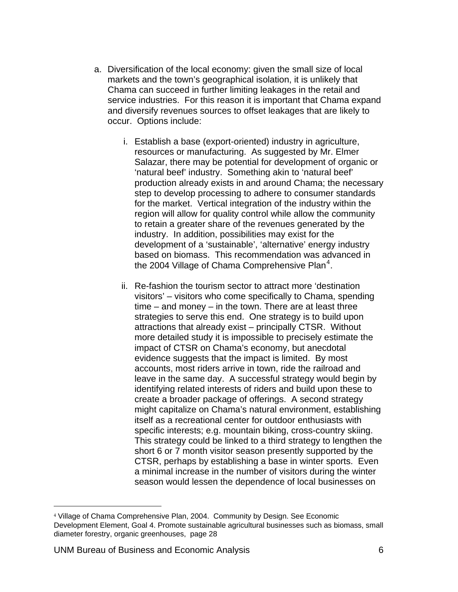- <span id="page-8-0"></span>a. Diversification of the local economy: given the small size of local markets and the town's geographical isolation, it is unlikely that Chama can succeed in further limiting leakages in the retail and service industries. For this reason it is important that Chama expand and diversify revenues sources to offset leakages that are likely to occur. Options include:
	- i. Establish a base (export-oriented) industry in agriculture, resources or manufacturing. As suggested by Mr. Elmer Salazar, there may be potential for development of organic or 'natural beef' industry. Something akin to 'natural beef' production already exists in and around Chama; the necessary step to develop processing to adhere to consumer standards for the market. Vertical integration of the industry within the region will allow for quality control while allow the community to retain a greater share of the revenues generated by the industry. In addition, possibilities may exist for the development of a 'sustainable', 'alternative' energy industry based on biomass. This recommendation was advanced in the 200[4](#page-8-0) Village of Chama Comprehensive Plan<sup>4</sup>.
	- ii. Re-fashion the tourism sector to attract more 'destination visitors' – visitors who come specifically to Chama, spending time – and money – in the town. There are at least three strategies to serve this end. One strategy is to build upon attractions that already exist – principally CTSR. Without more detailed study it is impossible to precisely estimate the impact of CTSR on Chama's economy, but anecdotal evidence suggests that the impact is limited. By most accounts, most riders arrive in town, ride the railroad and leave in the same day. A successful strategy would begin by identifying related interests of riders and build upon these to create a broader package of offerings. A second strategy might capitalize on Chama's natural environment, establishing itself as a recreational center for outdoor enthusiasts with specific interests; e.g. mountain biking, cross-country skiing. This strategy could be linked to a third strategy to lengthen the short 6 or 7 month visitor season presently supported by the CTSR, perhaps by establishing a base in winter sports. Even a minimal increase in the number of visitors during the winter season would lessen the dependence of local businesses on

<sup>4</sup> Village of Chama Comprehensive Plan, 2004. Community by Design. See Economic Development Element, Goal 4. Promote sustainable agricultural businesses such as biomass, small diameter forestry, organic greenhouses, page 28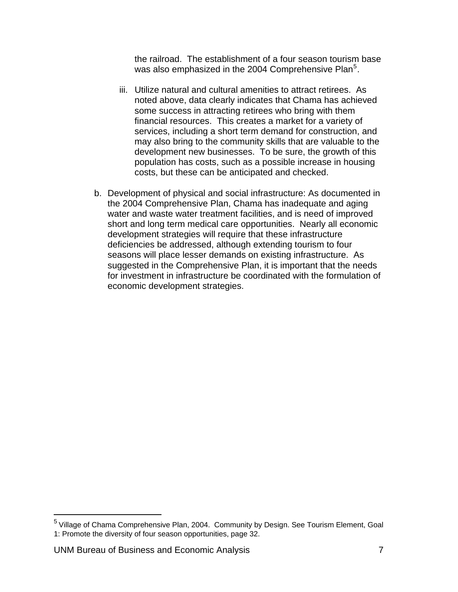the railroad. The establishment of a four season tourism base was also emphasized in the 2004 Comprehensive Plan<sup>[5](#page-9-0)</sup>.

- <span id="page-9-0"></span>iii. Utilize natural and cultural amenities to attract retirees. As noted above, data clearly indicates that Chama has achieved some success in attracting retirees who bring with them financial resources. This creates a market for a variety of services, including a short term demand for construction, and may also bring to the community skills that are valuable to the development new businesses. To be sure, the growth of this population has costs, such as a possible increase in housing costs, but these can be anticipated and checked.
- b. Development of physical and social infrastructure: As documented in the 2004 Comprehensive Plan, Chama has inadequate and aging water and waste water treatment facilities, and is need of improved short and long term medical care opportunities. Nearly all economic development strategies will require that these infrastructure deficiencies be addressed, although extending tourism to four seasons will place lesser demands on existing infrastructure. As suggested in the Comprehensive Plan, it is important that the needs for investment in infrastructure be coordinated with the formulation of economic development strategies.

UNM Bureau of Business and Economic Analysis 7

<sup>&</sup>lt;sup>5</sup> Village of Chama Comprehensive Plan, 2004. Community by Design. See Tourism Element, Goal 1: Promote the diversity of four season opportunities, page 32.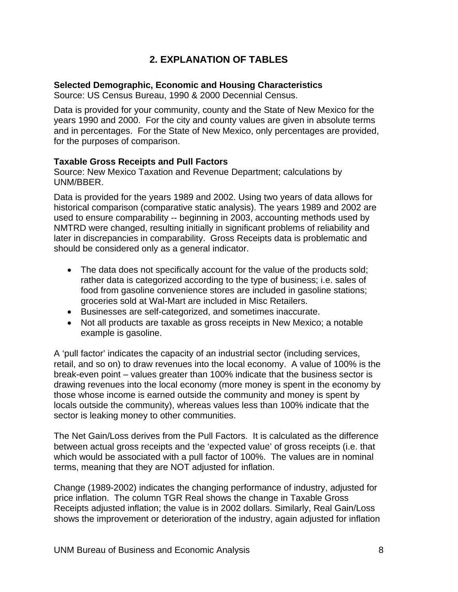### **2. EXPLANATION OF TABLES**

#### <span id="page-10-0"></span>**Selected Demographic, Economic and Housing Characteristics**

Source: US Census Bureau, 1990 & 2000 Decennial Census.

Data is provided for your community, county and the State of New Mexico for the years 1990 and 2000. For the city and county values are given in absolute terms and in percentages. For the State of New Mexico, only percentages are provided, for the purposes of comparison.

#### **Taxable Gross Receipts and Pull Factors**

Source: New Mexico Taxation and Revenue Department; calculations by UNM/BBER.

Data is provided for the years 1989 and 2002. Using two years of data allows for historical comparison (comparative static analysis). The years 1989 and 2002 are used to ensure comparability -- beginning in 2003, accounting methods used by NMTRD were changed, resulting initially in significant problems of reliability and later in discrepancies in comparability. Gross Receipts data is problematic and should be considered only as a general indicator.

- The data does not specifically account for the value of the products sold; rather data is categorized according to the type of business; i.e. sales of food from gasoline convenience stores are included in gasoline stations; groceries sold at Wal-Mart are included in Misc Retailers.
- Businesses are self-categorized, and sometimes inaccurate.
- Not all products are taxable as gross receipts in New Mexico; a notable example is gasoline.

A 'pull factor' indicates the capacity of an industrial sector (including services, retail, and so on) to draw revenues into the local economy. A value of 100% is the break-even point – values greater than 100% indicate that the business sector is drawing revenues into the local economy (more money is spent in the economy by those whose income is earned outside the community and money is spent by locals outside the community), whereas values less than 100% indicate that the sector is leaking money to other communities.

The Net Gain/Loss derives from the Pull Factors. It is calculated as the difference between actual gross receipts and the 'expected value' of gross receipts (i.e. that which would be associated with a pull factor of 100%. The values are in nominal terms, meaning that they are NOT adjusted for inflation.

Change (1989-2002) indicates the changing performance of industry, adjusted for price inflation. The column TGR Real shows the change in Taxable Gross Receipts adjusted inflation; the value is in 2002 dollars. Similarly, Real Gain/Loss shows the improvement or deterioration of the industry, again adjusted for inflation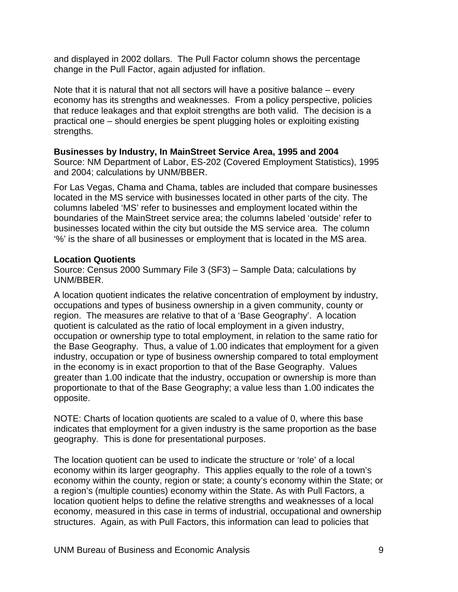and displayed in 2002 dollars. The Pull Factor column shows the percentage change in the Pull Factor, again adjusted for inflation.

Note that it is natural that not all sectors will have a positive balance – every economy has its strengths and weaknesses. From a policy perspective, policies that reduce leakages and that exploit strengths are both valid. The decision is a practical one – should energies be spent plugging holes or exploiting existing strengths.

#### **Businesses by Industry, In MainStreet Service Area, 1995 and 2004**

Source: NM Department of Labor, ES-202 (Covered Employment Statistics), 1995 and 2004; calculations by UNM/BBER.

For Las Vegas, Chama and Chama, tables are included that compare businesses located in the MS service with businesses located in other parts of the city. The columns labeled 'MS' refer to businesses and employment located within the boundaries of the MainStreet service area; the columns labeled 'outside' refer to businesses located within the city but outside the MS service area. The column '%' is the share of all businesses or employment that is located in the MS area.

#### **Location Quotients**

Source: Census 2000 Summary File 3 (SF3) – Sample Data; calculations by UNM/BBER.

A location quotient indicates the relative concentration of employment by industry, occupations and types of business ownership in a given community, county or region. The measures are relative to that of a 'Base Geography'. A location quotient is calculated as the ratio of local employment in a given industry, occupation or ownership type to total employment, in relation to the same ratio for the Base Geography. Thus, a value of 1.00 indicates that employment for a given industry, occupation or type of business ownership compared to total employment in the economy is in exact proportion to that of the Base Geography. Values greater than 1.00 indicate that the industry, occupation or ownership is more than proportionate to that of the Base Geography; a value less than 1.00 indicates the opposite.

NOTE: Charts of location quotients are scaled to a value of 0, where this base indicates that employment for a given industry is the same proportion as the base geography. This is done for presentational purposes.

The location quotient can be used to indicate the structure or 'role' of a local economy within its larger geography. This applies equally to the role of a town's economy within the county, region or state; a county's economy within the State; or a region's (multiple counties) economy within the State. As with Pull Factors, a location quotient helps to define the relative strengths and weaknesses of a local economy, measured in this case in terms of industrial, occupational and ownership structures. Again, as with Pull Factors, this information can lead to policies that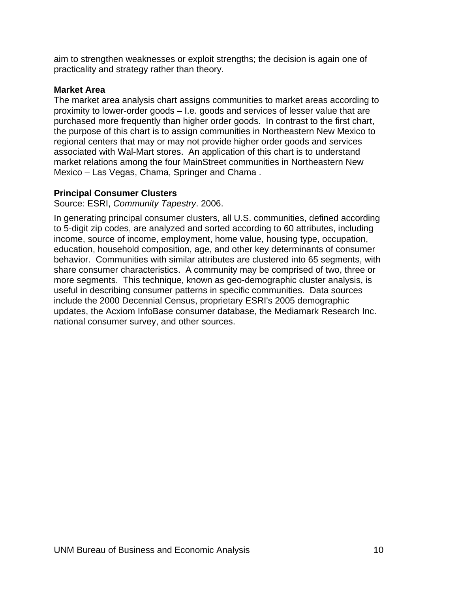aim to strengthen weaknesses or exploit strengths; the decision is again one of practicality and strategy rather than theory.

#### **Market Area**

The market area analysis chart assigns communities to market areas according to proximity to lower-order goods – I.e. goods and services of lesser value that are purchased more frequently than higher order goods. In contrast to the first chart, the purpose of this chart is to assign communities in Northeastern New Mexico to regional centers that may or may not provide higher order goods and services associated with Wal-Mart stores. An application of this chart is to understand market relations among the four MainStreet communities in Northeastern New Mexico – Las Vegas, Chama, Springer and Chama .

#### **Principal Consumer Clusters**

Source: ESRI, *Community Tapestry*. 2006.

In generating principal consumer clusters, all U.S. communities, defined according to 5-digit zip codes, are analyzed and sorted according to 60 attributes, including income, source of income, employment, home value, housing type, occupation, education, household composition, age, and other key determinants of consumer behavior. Communities with similar attributes are clustered into 65 segments, with share consumer characteristics. A community may be comprised of two, three or more segments. This technique, known as geo-demographic cluster analysis, is useful in describing consumer patterns in specific communities. Data sources include the 2000 Decennial Census, proprietary ESRI's 2005 demographic updates, the Acxiom InfoBase consumer database, the Mediamark Research Inc. national consumer survey, and other sources.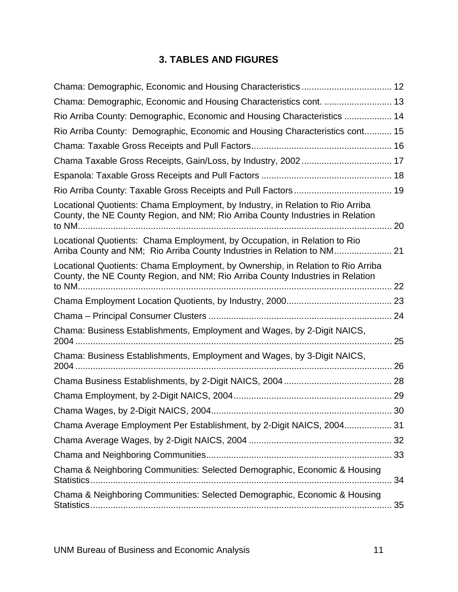# <span id="page-13-1"></span>**3. TABLES AND FIGURES**

<span id="page-13-0"></span>

| Chama: Demographic, Economic and Housing Characteristics cont.  13                                                                                                |    |
|-------------------------------------------------------------------------------------------------------------------------------------------------------------------|----|
| Rio Arriba County: Demographic, Economic and Housing Characteristics  14                                                                                          |    |
| Rio Arriba County: Demographic, Economic and Housing Characteristics cont 15                                                                                      |    |
|                                                                                                                                                                   |    |
|                                                                                                                                                                   |    |
|                                                                                                                                                                   |    |
|                                                                                                                                                                   |    |
| Locational Quotients: Chama Employment, by Industry, in Relation to Rio Arriba<br>County, the NE County Region, and NM; Rio Arriba County Industries in Relation  |    |
| Locational Quotients: Chama Employment, by Occupation, in Relation to Rio<br>Arriba County and NM; Rio Arriba County Industries in Relation to NM                 |    |
| Locational Quotients: Chama Employment, by Ownership, in Relation to Rio Arriba<br>County, the NE County Region, and NM; Rio Arriba County Industries in Relation |    |
|                                                                                                                                                                   |    |
|                                                                                                                                                                   |    |
| Chama: Business Establishments, Employment and Wages, by 2-Digit NAICS,                                                                                           | 25 |
| Chama: Business Establishments, Employment and Wages, by 3-Digit NAICS,                                                                                           |    |
|                                                                                                                                                                   |    |
|                                                                                                                                                                   |    |
|                                                                                                                                                                   |    |
| Chama Average Employment Per Establishment, by 2-Digit NAICS, 2004 31                                                                                             |    |
|                                                                                                                                                                   |    |
|                                                                                                                                                                   |    |
| Chama & Neighboring Communities: Selected Demographic, Economic & Housing                                                                                         | 34 |
| Chama & Neighboring Communities: Selected Demographic, Economic & Housing                                                                                         | 35 |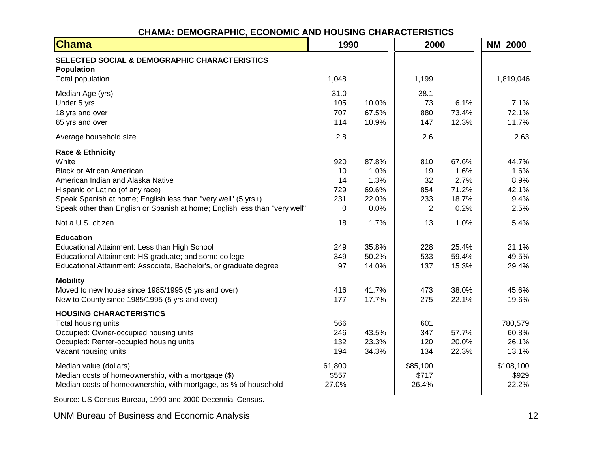# **CHAMA: DEMOGRAPHIC, ECONOMIC AND HOUSING CHARACTERISTICS**

| <b>Chama</b>                                                                           | 1990       |                | 2000           |                | <b>NM 2000</b> |
|----------------------------------------------------------------------------------------|------------|----------------|----------------|----------------|----------------|
| SELECTED SOCIAL & DEMOGRAPHIC CHARACTERISTICS<br><b>Population</b><br>Total population | 1,048      |                | 1,199          |                | 1,819,046      |
|                                                                                        |            |                |                |                |                |
| Median Age (yrs)                                                                       | 31.0       |                | 38.1           |                |                |
| Under 5 yrs                                                                            | 105        | 10.0%          | 73             | 6.1%           | 7.1%           |
| 18 yrs and over                                                                        | 707<br>114 | 67.5%<br>10.9% | 880            | 73.4%<br>12.3% | 72.1%<br>11.7% |
| 65 yrs and over                                                                        |            |                | 147            |                |                |
| Average household size                                                                 | 2.8        |                | 2.6            |                | 2.63           |
| <b>Race &amp; Ethnicity</b>                                                            |            |                |                |                |                |
| White                                                                                  | 920        | 87.8%          | 810            | 67.6%          | 44.7%          |
| <b>Black or African American</b>                                                       | 10         | 1.0%           | 19             | 1.6%           | 1.6%           |
| American Indian and Alaska Native                                                      | 14         | 1.3%           | 32             | 2.7%           | 8.9%           |
| Hispanic or Latino (of any race)                                                       | 729        | 69.6%          | 854            | 71.2%          | 42.1%          |
| Speak Spanish at home; English less than "very well" (5 yrs+)                          | 231        | 22.0%          | 233            | 18.7%          | 9.4%           |
| Speak other than English or Spanish at home; English less than "very well"             | 0          | 0.0%           | $\overline{c}$ | 0.2%           | 2.5%           |
| Not a U.S. citizen                                                                     | 18         | 1.7%           | 13             | 1.0%           | 5.4%           |
| <b>Education</b>                                                                       |            |                |                |                |                |
| Educational Attainment: Less than High School                                          | 249        | 35.8%          | 228            | 25.4%          | 21.1%          |
| Educational Attainment: HS graduate; and some college                                  | 349        | 50.2%          | 533            | 59.4%          | 49.5%          |
| Educational Attainment: Associate, Bachelor's, or graduate degree                      | 97         | 14.0%          | 137            | 15.3%          | 29.4%          |
| <b>Mobility</b>                                                                        |            |                |                |                |                |
| Moved to new house since 1985/1995 (5 yrs and over)                                    | 416        | 41.7%          | 473            | 38.0%          | 45.6%          |
| New to County since 1985/1995 (5 yrs and over)                                         | 177        | 17.7%          | 275            | 22.1%          | 19.6%          |
| <b>HOUSING CHARACTERISTICS</b>                                                         |            |                |                |                |                |
| Total housing units                                                                    | 566        |                | 601            |                | 780,579        |
| Occupied: Owner-occupied housing units                                                 | 246        | 43.5%          | 347            | 57.7%          | 60.8%          |
| Occupied: Renter-occupied housing units                                                | 132        | 23.3%          | 120            | 20.0%          | 26.1%          |
| Vacant housing units                                                                   | 194        | 34.3%          | 134            | 22.3%          | 13.1%          |
| Median value (dollars)                                                                 | 61,800     |                | \$85,100       |                | \$108,100      |
| Median costs of homeownership, with a mortgage (\$)                                    | \$557      |                | \$717          |                | \$929          |
| Median costs of homeownership, with mortgage, as % of household                        | 27.0%      |                | 26.4%          |                | 22.2%          |
|                                                                                        |            |                |                |                |                |

Source: US Census Bureau, 1990 and 2000 Decennial Census.

<span id="page-14-0"></span>UNM Bureau of Business and Economic Analysis 12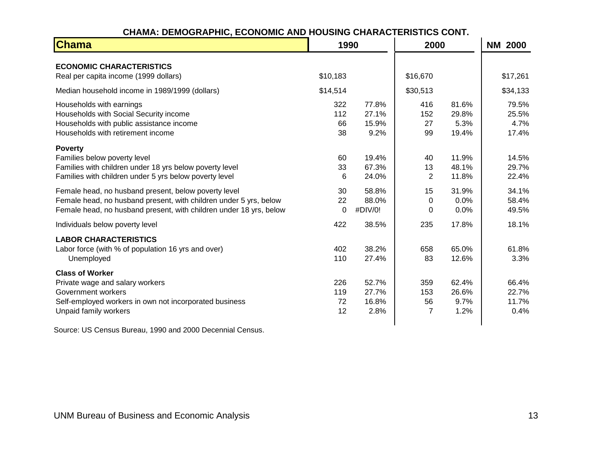#### **CHAMA: DEMOGRAPHIC, ECONOMIC AND HOUSING CHARACTERISTICS CONT.**

| <b>Chama</b>                                                                                                                                                                                    | 1990                   |                                 | 2000                               |                                 | <b>NM 2000</b>                  |
|-------------------------------------------------------------------------------------------------------------------------------------------------------------------------------------------------|------------------------|---------------------------------|------------------------------------|---------------------------------|---------------------------------|
| <b>ECONOMIC CHARACTERISTICS</b><br>Real per capita income (1999 dollars)                                                                                                                        | \$10,183               |                                 | \$16,670                           |                                 | \$17,261                        |
| Median household income in 1989/1999 (dollars)                                                                                                                                                  | \$14,514               |                                 | \$30,513                           |                                 | \$34,133                        |
| Households with earnings<br>Households with Social Security income<br>Households with public assistance income<br>Households with retirement income                                             | 322<br>112<br>66<br>38 | 77.8%<br>27.1%<br>15.9%<br>9.2% | 416<br>152<br>27<br>99             | 81.6%<br>29.8%<br>5.3%<br>19.4% | 79.5%<br>25.5%<br>4.7%<br>17.4% |
| <b>Poverty</b><br>Families below poverty level<br>Families with children under 18 yrs below poverty level<br>Families with children under 5 yrs below poverty level                             | 60<br>33<br>6          | 19.4%<br>67.3%<br>24.0%         | 40<br>13<br>$\overline{2}$         | 11.9%<br>48.1%<br>11.8%         | 14.5%<br>29.7%<br>22.4%         |
| Female head, no husband present, below poverty level<br>Female head, no husband present, with children under 5 yrs, below<br>Female head, no husband present, with children under 18 yrs, below | 30<br>22<br>$\Omega$   | 58.8%<br>88.0%<br>#DIV/0!       | 15<br>$\Omega$<br>0                | 31.9%<br>0.0%<br>0.0%           | 34.1%<br>58.4%<br>49.5%         |
| Individuals below poverty level                                                                                                                                                                 | 422                    | 38.5%                           | 235                                | 17.8%                           | 18.1%                           |
| <b>LABOR CHARACTERISTICS</b><br>Labor force (with % of population 16 yrs and over)<br>Unemployed                                                                                                | 402<br>110             | 38.2%<br>27.4%                  | 658<br>83                          | 65.0%<br>12.6%                  | 61.8%<br>3.3%                   |
| <b>Class of Worker</b><br>Private wage and salary workers<br>Government workers<br>Self-employed workers in own not incorporated business<br>Unpaid family workers                              | 226<br>119<br>72<br>12 | 52.7%<br>27.7%<br>16.8%<br>2.8% | 359<br>153<br>56<br>$\overline{7}$ | 62.4%<br>26.6%<br>9.7%<br>1.2%  | 66.4%<br>22.7%<br>11.7%<br>0.4% |

<span id="page-15-0"></span>Source: US Census Bureau, 1990 and 2000 Decennial Census.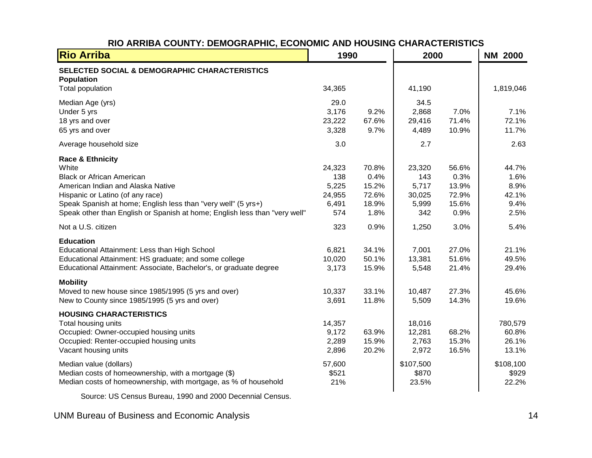| <b>Rio Arriba</b>                                                                                                                                                                                                                                                                                | 1990                                                 |                                                  | 2000                                                     |                                                  | <b>NM 2000</b>                                           |
|--------------------------------------------------------------------------------------------------------------------------------------------------------------------------------------------------------------------------------------------------------------------------------------------------|------------------------------------------------------|--------------------------------------------------|----------------------------------------------------------|--------------------------------------------------|----------------------------------------------------------|
| SELECTED SOCIAL & DEMOGRAPHIC CHARACTERISTICS<br><b>Population</b><br>Total population                                                                                                                                                                                                           | 34,365                                               |                                                  | 41,190                                                   |                                                  | 1,819,046                                                |
| Median Age (yrs)<br>Under 5 yrs<br>18 yrs and over<br>65 yrs and over                                                                                                                                                                                                                            | 29.0<br>3,176<br>23,222<br>3,328                     | 9.2%<br>67.6%<br>9.7%                            | 34.5<br>2,868<br>29,416<br>4,489                         | 7.0%<br>71.4%<br>10.9%                           | 7.1%<br>72.1%<br>11.7%                                   |
| Average household size                                                                                                                                                                                                                                                                           | 3.0                                                  |                                                  | 2.7                                                      |                                                  | 2.63                                                     |
| <b>Race &amp; Ethnicity</b><br>White<br><b>Black or African American</b><br>American Indian and Alaska Native<br>Hispanic or Latino (of any race)<br>Speak Spanish at home; English less than "very well" (5 yrs+)<br>Speak other than English or Spanish at home; English less than "very well" | 24,323<br>138<br>5,225<br>24,955<br>6,491<br>574     | 70.8%<br>0.4%<br>15.2%<br>72.6%<br>18.9%<br>1.8% | 23,320<br>143<br>5,717<br>30,025<br>5,999<br>342         | 56.6%<br>0.3%<br>13.9%<br>72.9%<br>15.6%<br>0.9% | 44.7%<br>1.6%<br>8.9%<br>42.1%<br>9.4%<br>2.5%           |
| Not a U.S. citizen                                                                                                                                                                                                                                                                               | 323                                                  | 0.9%                                             | 1,250                                                    | 3.0%                                             | 5.4%                                                     |
| <b>Education</b><br>Educational Attainment: Less than High School<br>Educational Attainment: HS graduate; and some college<br>Educational Attainment: Associate, Bachelor's, or graduate degree                                                                                                  | 6,821<br>10,020<br>3,173                             | 34.1%<br>50.1%<br>15.9%                          | 7,001<br>13,381<br>5,548                                 | 27.0%<br>51.6%<br>21.4%                          | 21.1%<br>49.5%<br>29.4%                                  |
| <b>Mobility</b><br>Moved to new house since 1985/1995 (5 yrs and over)<br>New to County since 1985/1995 (5 yrs and over)                                                                                                                                                                         | 10,337<br>3,691                                      | 33.1%<br>11.8%                                   | 10,487<br>5,509                                          | 27.3%<br>14.3%                                   | 45.6%<br>19.6%                                           |
| <b>HOUSING CHARACTERISTICS</b><br>Total housing units<br>Occupied: Owner-occupied housing units<br>Occupied: Renter-occupied housing units<br>Vacant housing units<br>Median value (dollars)<br>Median costs of homeownership, with a mortgage (\$)                                              | 14,357<br>9,172<br>2,289<br>2,896<br>57,600<br>\$521 | 63.9%<br>15.9%<br>20.2%                          | 18,016<br>12,281<br>2,763<br>2,972<br>\$107,500<br>\$870 | 68.2%<br>15.3%<br>16.5%                          | 780,579<br>60.8%<br>26.1%<br>13.1%<br>\$108,100<br>\$929 |
| Median costs of homeownership, with mortgage, as % of household                                                                                                                                                                                                                                  | 21%                                                  |                                                  | 23.5%                                                    |                                                  | 22.2%                                                    |

#### **RIO ARRIBA COUNTY: DEMOGRAPHIC, ECONOMIC AND HOUSING CHARACTERISTICS**

Source: US Census Bureau, 1990 and 2000 Decennial Census.

<span id="page-16-0"></span>UNM Bureau of Business and Economic Analysis 14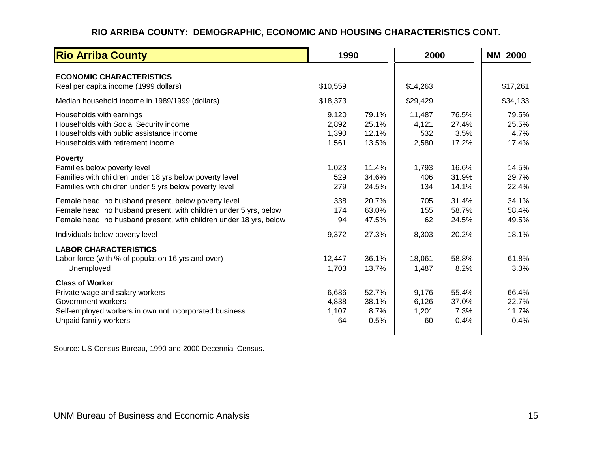#### **RIO ARRIBA COUNTY: DEMOGRAPHIC, ECONOMIC AND HOUSING CHARACTERISTICS CONT.**

| <b>Rio Arriba County</b>                                                                                                                                                                        |                                  | 1990                             |                                 | 2000                            |                                 |
|-------------------------------------------------------------------------------------------------------------------------------------------------------------------------------------------------|----------------------------------|----------------------------------|---------------------------------|---------------------------------|---------------------------------|
| <b>ECONOMIC CHARACTERISTICS</b><br>Real per capita income (1999 dollars)                                                                                                                        | \$10,559                         |                                  | \$14,263                        |                                 | \$17,261                        |
| Median household income in 1989/1999 (dollars)                                                                                                                                                  | \$18,373                         |                                  | \$29,429                        |                                 | \$34,133                        |
| Households with earnings<br>Households with Social Security income<br>Households with public assistance income<br>Households with retirement income                                             | 9,120<br>2,892<br>1,390<br>1,561 | 79.1%<br>25.1%<br>12.1%<br>13.5% | 11,487<br>4,121<br>532<br>2,580 | 76.5%<br>27.4%<br>3.5%<br>17.2% | 79.5%<br>25.5%<br>4.7%<br>17.4% |
| <b>Poverty</b><br>Families below poverty level<br>Families with children under 18 yrs below poverty level<br>Families with children under 5 yrs below poverty level                             | 1,023<br>529<br>279              | 11.4%<br>34.6%<br>24.5%          | 1,793<br>406<br>134             | 16.6%<br>31.9%<br>14.1%         | 14.5%<br>29.7%<br>22.4%         |
| Female head, no husband present, below poverty level<br>Female head, no husband present, with children under 5 yrs, below<br>Female head, no husband present, with children under 18 yrs, below | 338<br>174<br>94                 | 20.7%<br>63.0%<br>47.5%          | 705<br>155<br>62                | 31.4%<br>58.7%<br>24.5%         | 34.1%<br>58.4%<br>49.5%         |
| Individuals below poverty level                                                                                                                                                                 | 9,372                            | 27.3%                            | 8,303                           | 20.2%                           | 18.1%                           |
| <b>LABOR CHARACTERISTICS</b><br>Labor force (with % of population 16 yrs and over)<br>Unemployed                                                                                                | 12,447<br>1,703                  | 36.1%<br>13.7%                   | 18,061<br>1,487                 | 58.8%<br>8.2%                   | 61.8%<br>3.3%                   |
| <b>Class of Worker</b><br>Private wage and salary workers<br>Government workers<br>Self-employed workers in own not incorporated business<br>Unpaid family workers                              | 6,686<br>4,838<br>1,107<br>64    | 52.7%<br>38.1%<br>8.7%<br>0.5%   | 9,176<br>6,126<br>1,201<br>60   | 55.4%<br>37.0%<br>7.3%<br>0.4%  | 66.4%<br>22.7%<br>11.7%<br>0.4% |

<span id="page-17-0"></span>Source: US Census Bureau, 1990 and 2000 Decennial Census.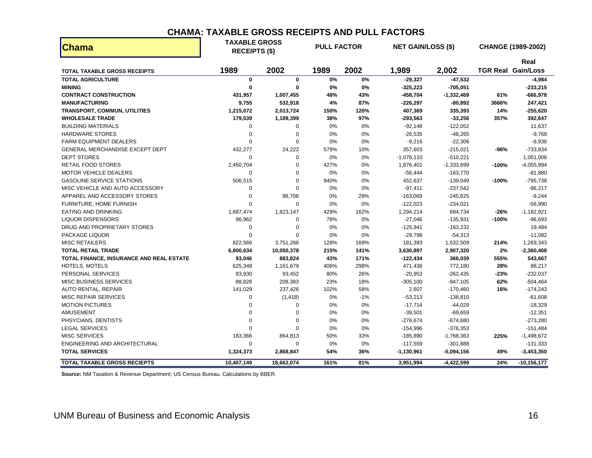#### **CHAMA: TAXABLE GROSS RECEIPTS AND PULL FACTORS**

| <b>Chama</b>                             | <b>TAXABLE GROSS</b><br><b>RECEIPTS (\$)</b> |             | <b>PULL FACTOR</b> |       | <b>NET GAIN/LOSS (\$)</b> |              |         | <b>CHANGE (1989-2002)</b>         |
|------------------------------------------|----------------------------------------------|-------------|--------------------|-------|---------------------------|--------------|---------|-----------------------------------|
| <b>TOTAL TAXABLE GROSS RECEIPTS</b>      | 1989                                         | 2002        | 1989               | 2002  | 1,989                     | 2,002        |         | Real<br><b>TGR Real Gain/Loss</b> |
| <b>TOTAL AGRICULTURE</b>                 | $\mathbf 0$                                  | $\bf{0}$    | 0%                 | 0%    | $-29,327$                 | $-47,532$    |         | $-4,984$                          |
| <b>MINING</b>                            | $\mathbf{0}$                                 | $\bf{0}$    | 0%                 | 0%    | $-325,223$                | $-705,051$   |         | $-233,215$                        |
| <b>CONTRACT CONSTRUCTION</b>             | 431,957                                      | 1,007,455   | 48%                | 43%   | $-458,704$                | $-1,332,469$ | 61%     | $-666,978$                        |
| <b>MANUFACTURING</b>                     | 9,755                                        | 532,918     | 4%                 | 87%   | $-226,297$                | -80,892      | 3666%   | 247,421                           |
| <b>TRANSPORT, COMMUN, UTILITIES</b>      | 1,215,072                                    | 2,013,724   | 150%               | 120%  | 407,369                   | 335,393      | 14%     | -255,620                          |
| <b>WHOLESALE TRADE</b>                   | 179,539                                      | 1,189,399   | 38%                | 97%   | $-293,563$                | $-33,256$    | 357%    | 392,647                           |
| <b>BUILDING MATERIALS</b>                | 0                                            | 0           | 0%                 | 0%    | $-92,148$                 | $-122,052$   |         | 11,637                            |
| <b>HARDWARE STORES</b>                   | $\mathbf 0$                                  | $\mathbf 0$ | 0%                 | 0%    | $-26,535$                 | $-48,265$    |         | $-9,768$                          |
| <b>FARM EQUIPMENT DEALERS</b>            | 0                                            | 0           | 0%                 | 0%    | $-9,216$                  | $-22,306$    |         | $-8,936$                          |
| GENERAL MERCHANDISE EXCEPT DEPT          | 432,277                                      | 24,222      | 579%               | 10%   | 357,603                   | $-215,021$   | -96%    | $-733,834$                        |
| <b>DEPT STORES</b>                       | 0                                            | $\mathbf 0$ | 0%                 | 0%    | $-1,076,110$              | $-510,221$   |         | 1,051,006                         |
| <b>RETAIL FOOD STORES</b>                | 2,450,704                                    | $\Omega$    | 427%               | 0%    | 1,876,401                 | $-1,333,699$ | -100%   | $-4,055,994$                      |
| <b>MOTOR VEHICLE DEALERS</b>             | 0                                            | $\Omega$    | 0%                 | 0%    | $-56,444$                 | $-163,770$   |         | $-81,880$                         |
| <b>GASOLINE SERVICE STATIONS</b>         | 506,515                                      | 0           | 940%               | 0%    | 452,637                   | $-139,049$   | $-100%$ | -795,738                          |
| MISC VEHICLE AND AUTO ACCESSORY          | 0                                            | $\Omega$    | 0%                 | 0%    | $-97,411$                 | $-237,542$   |         | $-96,217$                         |
| APPAREL AND ACCESSORY STORES             | $\mathbf 0$                                  | 98,708      | 0%                 | 29%   | $-163,069$                | $-245,825$   |         | $-9,244$                          |
| FURNITURE, HOME FURNISH                  | $\Omega$                                     | $\mathbf 0$ | 0%                 | 0%    | $-122,023$                | $-234,021$   |         | $-56,990$                         |
| <b>EATING AND DRINKING</b>               | 1,687,474                                    | 1,823,147   | 429%               | 162%  | 1,294,214                 | 694,734      | $-26%$  | $-1,182,921$                      |
| <b>LIQUOR DISPENSORS</b>                 | 96,962                                       | $\mathbf 0$ | 78%                | 0%    | $-27,046$                 | -135,931     | $-100%$ | -96,693                           |
| DRUG AND PROPRIETARY STORES              | 0                                            | $\mathbf 0$ | 0%                 | 0%    | $-125,941$                | $-163,232$   |         | 19,484                            |
| PACKAGE LIQUOR                           | $\mathbf 0$                                  | $\Omega$    | 0%                 | 0%    | $-29,798$                 | $-54,313$    |         | $-11,082$                         |
| <b>MISC RETAILERS</b>                    | 822,566                                      | 3,751,266   | 128%               | 169%  | 181,393                   | 1,532,509    | 214%    | 1,269,343                         |
| <b>TOTAL RETAIL TRADE</b>                | 6,800,634                                    | 10,050,378  | 215%               | 141%  | 3,630,897                 | 2,907,320    | 2%      | $-2,360,408$                      |
| TOTAL FINANCE, INSURANCE AND REAL ESTATE | 93,046                                       | 883,824     | 43%                | 171%  | $-122,434$                | 366,039      | 555%    | 543,667                           |
| <b>HOTELS, MOTELS</b>                    | 625,348                                      | 1,161,679   | 406%               | 298%  | 471,436                   | 772,180      | 28%     | 88,217                            |
| PERSONAL SERVICES                        | 83,930                                       | 93,452      | 80%                | 26%   | $-20,953$                 | $-262,435$   | $-23%$  | $-232,037$                        |
| <b>MISC BUSINESS SERVICES</b>            | 88,828                                       | 209,383     | 23%                | 18%   | $-305,100$                | $-947,105$   | 62%     | $-504,464$                        |
| <b>AUTO RENTAL, REPAIR</b>               | 141,029                                      | 237,426     | 102%               | 58%   | 2,607                     | $-170,460$   | 16%     | $-174,243$                        |
| <b>MISC REPAIR SERVICES</b>              | $\mathbf 0$                                  | (1, 418)    | 0%                 | $-1%$ | $-53,213$                 | $-138,810$   |         | $-61,608$                         |
| <b>MOTION PICTURES</b>                   | $\mathbf 0$                                  | 0           | 0%                 | 0%    | $-17,714$                 | $-44,029$    |         | $-18,329$                         |
| AMUSEMENT                                | $\Omega$                                     | $\Omega$    | 0%                 | 0%    | $-39,501$                 | $-69,659$    |         | $-12,351$                         |
| PHSYCIANS, DENTISTS                      | 0                                            | 0           | 0%                 | 0%    | $-276,674$                | $-674,680$   |         | $-273,280$                        |
| <b>LEGAL SERVICES</b>                    | $\Omega$                                     | $\Omega$    | 0%                 | 0%    | $-154,996$                | $-376,353$   |         | $-151,484$                        |
| <b>MISC SERVICES</b>                     | 183,366                                      | 864,813     | 50%                | 33%   | $-185,890$                | $-1,768,363$ | 225%    | $-1,498,672$                      |
| ENGINEERING AND ARCHITECTURAL            | $\mathbf 0$                                  | $\mathbf 0$ | 0%                 | $0\%$ | $-117,559$                | $-301,888$   |         | $-131,333$                        |
| <b>TOTAL SERVICES</b>                    | 1,324,373                                    | 2,868,847   | 54%                | 36%   | $-1,130,961$              | $-5,094,156$ | 49%     | $-3,453,350$                      |
| TOTAL TAXABLE GROSS RECIEPTS             | 10,407,149                                   | 18,662,074  | 161%               | 81%   | 3,951,994                 | $-4,422,599$ | 24%     | $-10,156,177$                     |

<span id="page-18-0"></span>**Source:** NM Taxation & Revenue Department; US Census Bureau. Calculations by BBER.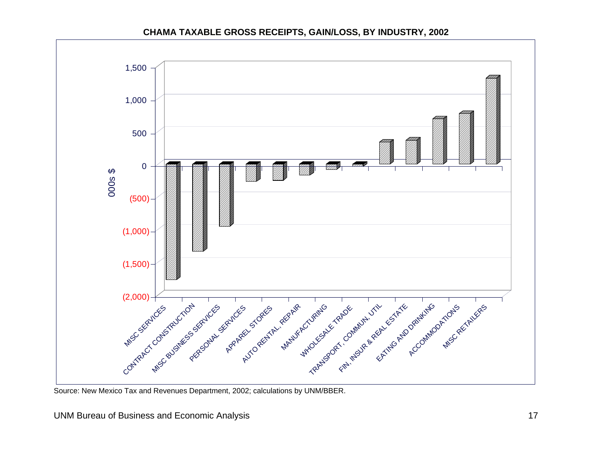#### **CHAMA TAXABLE GROSS RECEIPTS, GAIN/LOSS, BY INDUSTRY, 2002**



<span id="page-19-0"></span>Source: New Mexico Tax and Revenues Department, 2002; calculations by UNM/BBER.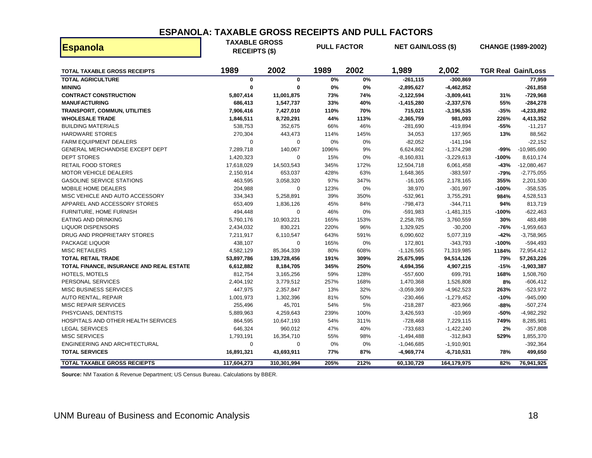#### **ESPANOLA: TAXABLE GROSS RECEIPTS AND PULL FACTORS**

| <b>Espanola</b>                          | <b>TAXABLE GROSS</b><br><b>RECEIPTS (\$)</b> |             |       |      | <b>PULL FACTOR</b><br><b>NET GAIN/LOSS (\$)</b> |              |         | <b>CHANGE (1989-2002)</b> |
|------------------------------------------|----------------------------------------------|-------------|-------|------|-------------------------------------------------|--------------|---------|---------------------------|
| <b>TOTAL TAXABLE GROSS RECEIPTS</b>      | 1989                                         | 2002        | 1989  | 2002 | 1,989                                           | 2,002        |         | <b>TGR Real Gain/Loss</b> |
| <b>TOTAL AGRICULTURE</b>                 | 0                                            | $\mathbf 0$ | 0%    | 0%   | $-261, 115$                                     | $-300,869$   |         | 77,959                    |
| <b>MINING</b>                            | $\mathbf 0$                                  | $\mathbf 0$ | 0%    | 0%   | $-2,895,627$                                    | $-4,462,852$ |         | $-261,858$                |
| <b>CONTRACT CONSTRUCTION</b>             | 5,807,414                                    | 11,001,875  | 73%   | 74%  | $-2,122,594$                                    | $-3,809,441$ | 31%     | $-729,968$                |
| <b>MANUFACTURING</b>                     | 686,413                                      | 1,547,737   | 33%   | 40%  | $-1,415,280$                                    | $-2,337,576$ | 55%     | $-284,278$                |
| TRANSPORT, COMMUN, UTILITIES             | 7,906,416                                    | 7,427,010   | 110%  | 70%  | 715,021                                         | $-3,196,535$ | -35%    | $-4,233,892$              |
| <b>WHOLESALE TRADE</b>                   | 1,846,511                                    | 8,720,291   | 44%   | 113% | $-2,365,759$                                    | 981,093      | 226%    | 4,413,352                 |
| <b>BUILDING MATERIALS</b>                | 538,753                                      | 352,675     | 66%   | 46%  | $-281,690$                                      | $-419,894$   | -55%    | $-11,217$                 |
| <b>HARDWARE STORES</b>                   | 270,304                                      | 443,473     | 114%  | 145% | 34,053                                          | 137,965      | 13%     | 88,562                    |
| <b>FARM EQUIPMENT DEALERS</b>            | $\mathbf 0$                                  | 0           | 0%    | 0%   | $-82,052$                                       | $-141,194$   |         | $-22,152$                 |
| GENERAL MERCHANDISE EXCEPT DEPT          | 7,289,718                                    | 140,067     | 1096% | 9%   | 6,624,862                                       | $-1,374,298$ | -99%    | $-10,985,690$             |
| <b>DEPT STORES</b>                       | 1,420,323                                    | $\mathbf 0$ | 15%   | 0%   | $-8,160,831$                                    | $-3,229,613$ | $-100%$ | 8,610,174                 |
| <b>RETAIL FOOD STORES</b>                | 17,618,029                                   | 14,503,543  | 345%  | 172% | 12,504,718                                      | 6,061,458    | $-43%$  | $-12,080,467$             |
| <b>MOTOR VEHICLE DEALERS</b>             | 2,150,914                                    | 653,037     | 428%  | 63%  | 1,648,365                                       | $-383,597$   | $-79%$  | $-2,775,055$              |
| <b>GASOLINE SERVICE STATIONS</b>         | 463,595                                      | 3,058,320   | 97%   | 347% | $-16, 105$                                      | 2,178,165    | 355%    | 2,201,530                 |
| <b>MOBILE HOME DEALERS</b>               | 204,988                                      | $\mathbf 0$ | 123%  | 0%   | 38,970                                          | $-301,997$   | $-100%$ | $-358,535$                |
| MISC VEHICLE AND AUTO ACCESSORY          | 334,343                                      | 5,258,891   | 39%   | 350% | $-532,961$                                      | 3,755,291    | 984%    | 4,528,513                 |
| APPAREL AND ACCESSORY STORES             | 653,409                                      | 1,836,126   | 45%   | 84%  | $-798,473$                                      | $-344,711$   | 94%     | 813,719                   |
| FURNITURE, HOME FURNISH                  | 494,448                                      | $\pmb{0}$   | 46%   | 0%   | $-591,983$                                      | $-1,481,315$ | $-100%$ | $-622,463$                |
| <b>EATING AND DRINKING</b>               | 5,760,176                                    | 10,903,221  | 165%  | 153% | 2,258,785                                       | 3,760,559    | 30%     | 483,498                   |
| <b>LIQUOR DISPENSORS</b>                 | 2,434,032                                    | 830,221     | 220%  | 96%  | 1,329,925                                       | $-30,200$    | -76%    | $-1,959,663$              |
| DRUG AND PROPRIETARY STORES              | 7,211,917                                    | 6,110,547   | 643%  | 591% | 6,090,602                                       | 5,077,319    | $-42%$  | $-3,758,965$              |
| PACKAGE LIQUOR                           | 438,107                                      | $\mathbf 0$ | 165%  | 0%   | 172,801                                         | $-343,793$   | $-100%$ | $-594,493$                |
| <b>MISC RETAILERS</b>                    | 4,582,129                                    | 85,364,339  | 80%   | 608% | $-1,126,565$                                    | 71,319,985   | 1184%   | 72,954,412                |
| <b>TOTAL RETAIL TRADE</b>                | 53,897,786                                   | 139,728,456 | 191%  | 309% | 25,675,995                                      | 94,514,126   | 79%     | 57,263,226                |
| TOTAL FINANCE, INSURANCE AND REAL ESTATE | 6,612,882                                    | 8,184,705   | 345%  | 250% | 4,694,356                                       | 4,907,215    | $-15%$  | $-1,903,387$              |
| <b>HOTELS, MOTELS</b>                    | 812,754                                      | 3,165,256   | 59%   | 128% | $-557,600$                                      | 699,791      | 168%    | 1,508,760                 |
| PERSONAL SERVICES                        | 2,404,192                                    | 3,779,512   | 257%  | 168% | 1,470,368                                       | 1,526,808    | 8%      | $-606, 412$               |
| <b>MISC BUSINESS SERVICES</b>            | 447,975                                      | 2,357,847   | 13%   | 32%  | $-3,059,369$                                    | $-4,962,523$ | 263%    | $-523,972$                |
| <b>AUTO RENTAL, REPAIR</b>               | 1,001,973                                    | 1,302,396   | 81%   | 50%  | $-230,466$                                      | $-1,279,452$ | $-10%$  | $-945,090$                |
| <b>MISC REPAIR SERVICES</b>              | 255,496                                      | 45,701      | 54%   | 5%   | $-218,287$                                      | -823,966     | -88%    | $-507,274$                |
| PHSYCIANS, DENTISTS                      | 5,889,963                                    | 4,259,643   | 239%  | 100% | 3,426,593                                       | $-10,969$    | -50%    | $-4,982,292$              |
| HOSPITALS AND OTHER HEALTH SERVICES      | 864,595                                      | 10,647,193  | 54%   | 311% | $-728,468$                                      | 7,229,115    | 749%    | 8,285,981                 |
| <b>LEGAL SERVICES</b>                    | 646,324                                      | 960,012     | 47%   | 40%  | $-733,683$                                      | $-1,422,240$ | 2%      | $-357,808$                |
| <b>MISC SERVICES</b>                     | 1,793,191                                    | 16,354,710  | 55%   | 98%  | $-1,494,488$                                    | $-312,843$   | 529%    | 1,855,370                 |
| ENGINEERING AND ARCHITECTURAL            | 0                                            | 0           | 0%    | 0%   | $-1,046,685$                                    | $-1,910,901$ |         | $-392,364$                |
| <b>TOTAL SERVICES</b>                    | 16,891,321                                   | 43,693,911  | 77%   | 87%  | $-4,969,774$                                    | -6,710,531   | 78%     | 499,650                   |
| TOTAL TAXABLE GROSS RECIEPTS             | 117,604,273                                  | 310,301,994 | 205%  | 212% | 60,130,729                                      | 164,179,975  | 82%     | 76,941,925                |

<span id="page-20-0"></span>**Source:** NM Taxation & Revenue Department; US Census Bureau. Calculations by BBER.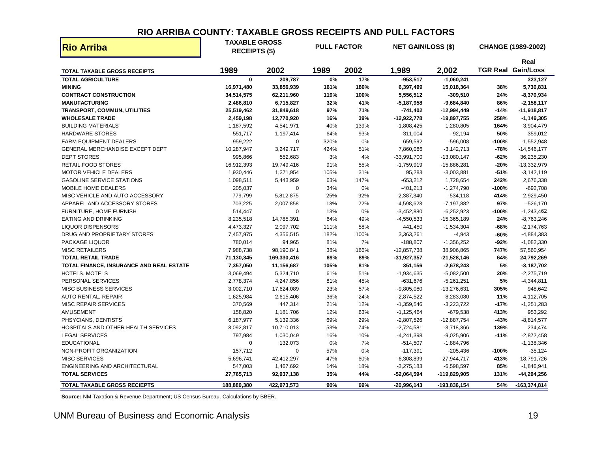#### **RIO ARRIBA COUNTY: TAXABLE GROSS RECEIPTS AND PULL FACTORS**

| <b>Rio Arriba</b>                        | <b>TAXABLE GROSS</b><br><b>RECEIPTS (\$)</b> |             | <b>PULL FACTOR</b> |      | <b>NET GAIN/LOSS (\$)</b> |               |         | CHANGE (1989-2002)        |
|------------------------------------------|----------------------------------------------|-------------|--------------------|------|---------------------------|---------------|---------|---------------------------|
|                                          |                                              |             |                    |      |                           |               |         | Real                      |
| <b>TOTAL TAXABLE GROSS RECEIPTS</b>      | 1989                                         | 2002        | 1989               | 2002 | 1,989                     | 2,002         |         | <b>TGR Real Gain/Loss</b> |
| <b>TOTAL AGRICULTURE</b>                 | $\mathbf 0$                                  | 209,787     | 0%                 | 17%  | $-953,517$                | $-1,060,241$  |         | 323,127                   |
| <b>MINING</b>                            | 16,971,480                                   | 33,856,939  | 161%               | 180% | 6,397,499                 | 15,018,364    | 38%     | 5,736,831                 |
| <b>CONTRACT CONSTRUCTION</b>             | 34,514,575                                   | 62,211,960  | 119%               | 100% | 5,556,512                 | $-309,510$    | 24%     | $-8,370,934$              |
| <b>MANUFACTURING</b>                     | 2,486,810                                    | 6,715,827   | 32%                | 41%  | $-5,187,958$              | $-9,684,840$  | 86%     | $-2,158,117$              |
| TRANSPORT, COMMUN, UTILITIES             | 25,519,462                                   | 31,849,618  | 97%                | 71%  | $-741,402$                | $-12,994,449$ | $-14%$  | $-11,918,817$             |
| <b>WHOLESALE TRADE</b>                   | 2,459,198                                    | 12,770,920  | 16%                | 39%  | $-12,922,778$             | $-19,897,755$ | 258%    | $-1,149,305$              |
| <b>BUILDING MATERIALS</b>                | 1,187,592                                    | 4,541,971   | 40%                | 139% | $-1,808,425$              | 1,280,805     | 164%    | 3,904,479                 |
| <b>HARDWARE STORES</b>                   | 551,717                                      | 1,197,414   | 64%                | 93%  | $-311,004$                | $-92,194$     | 50%     | 359,012                   |
| <b>FARM EQUIPMENT DEALERS</b>            | 959,222                                      | $\mathbf 0$ | 320%               | 0%   | 659,592                   | $-596,008$    | $-100%$ | $-1,552,948$              |
| GENERAL MERCHANDISE EXCEPT DEPT          | 10,287,947                                   | 3,249,717   | 424%               | 51%  | 7,860,086                 | $-3,142,713$  | $-78%$  | $-14,546,177$             |
| <b>DEPT STORES</b>                       | 995,866                                      | 552,683     | 3%                 | 4%   | $-33,991,700$             | $-13,080,147$ | $-62%$  | 36,235,230                |
| <b>RETAIL FOOD STORES</b>                | 16,912,393                                   | 19,749,416  | 91%                | 55%  | $-1,759,919$              | $-15,886,281$ | $-20%$  | $-13,332,979$             |
| <b>MOTOR VEHICLE DEALERS</b>             | 1,930,446                                    | 1,371,954   | 105%               | 31%  | 95,283                    | $-3,003,881$  | $-51%$  | $-3,142,119$              |
| <b>GASOLINE SERVICE STATIONS</b>         | 1,098,511                                    | 5,443,959   | 63%                | 147% | $-653,212$                | 1,728,654     | 242%    | 2,676,338                 |
| MOBILE HOME DEALERS                      | 205,037                                      | $\pmb{0}$   | 34%                | 0%   | $-401,213$                | $-1,274,790$  | $-100%$ | $-692,708$                |
| MISC VEHICLE AND AUTO ACCESSORY          | 779,799                                      | 5,812,875   | 25%                | 92%  | $-2,387,340$              | $-534,118$    | 414%    | 2,929,450                 |
| APPAREL AND ACCESSORY STORES             | 703,225                                      | 2,007,858   | 13%                | 22%  | $-4,598,623$              | $-7,197,882$  | 97%     | $-526,170$                |
| FURNITURE, HOME FURNISH                  | 514,447                                      | $\mathbf 0$ | 13%                | 0%   | $-3,452,880$              | $-6,252,923$  | $-100%$ | $-1,243,462$              |
| <b>EATING AND DRINKING</b>               | 8,235,518                                    | 14,785,391  | 64%                | 49%  | $-4,550,533$              | $-15,365,189$ | 24%     | $-8,763,246$              |
| <b>LIQUOR DISPENSORS</b>                 | 4,473,327                                    | 2,097,702   | 111%               | 58%  | 441,450                   | $-1,534,304$  | $-68%$  | $-2,174,763$              |
| DRUG AND PROPRIETARY STORES              | 7,457,975                                    | 4,356,515   | 182%               | 100% | 3,363,261                 | $-4,943$      | $-60%$  | $-4,884,383$              |
| PACKAGE LIQUOR                           | 780,014                                      | 94,965      | 81%                | 7%   | $-188,807$                | $-1,356,252$  | $-92%$  | $-1,082,330$              |
| <b>MISC RETAILERS</b>                    | 7,988,738                                    | 98,190,841  | 38%                | 166% | $-12,857,738$             | 38,906,865    | 747%    | 57,560,954                |
| <b>TOTAL RETAIL TRADE</b>                | 71,130,345                                   | 169,330,416 | 69%                | 89%  | $-31,927,357$             | $-21,528,146$ | 64%     | 24,792,269                |
| TOTAL FINANCE, INSURANCE AND REAL ESTATE | 7,357,050                                    | 11,156,687  | 105%               | 81%  | 351,156                   | $-2,678,243$  | 5%      | $-3,187,702$              |
| <b>HOTELS, MOTELS</b>                    | 3,069,494                                    | 5,324,710   | 61%                | 51%  | $-1,934,635$              | $-5,082,500$  | 20%     | $-2,275,719$              |
| PERSONAL SERVICES                        | 2,778,374                                    | 4,247,856   | 81%                | 45%  | $-631,676$                | $-5,261,251$  | 5%      | $-4,344,811$              |
| <b>MISC BUSINESS SERVICES</b>            | 3,002,710                                    | 17,624,089  | 23%                | 57%  | $-9,805,080$              | $-13,276,631$ | 305%    | 948,642                   |
| <b>AUTO RENTAL, REPAIR</b>               | 1,625,984                                    | 2,615,406   | 36%                | 24%  | $-2,874,522$              | $-8,283,080$  | 11%     | $-4, 112, 705$            |
| <b>MISC REPAIR SERVICES</b>              | 370,569                                      | 447,314     | 21%                | 12%  | $-1,359,546$              | $-3,223,722$  | $-17%$  | $-1,251,283$              |
| <b>AMUSEMENT</b>                         | 158,820                                      | 1,181,706   | 12%                | 63%  | $-1,125,464$              | $-679,538$    | 413%    | 953,292                   |
| PHSYCIANS, DENTISTS                      | 6,187,977                                    | 5,139,336   | 69%                | 29%  | $-2,807,526$              | $-12,887,754$ | $-43%$  | $-8,814,577$              |
| HOSPITALS AND OTHER HEALTH SERVICES      | 3,092,817                                    | 10,710,013  | 53%                | 74%  | $-2,724,581$              | $-3,718,366$  | 139%    | 234,474                   |
| <b>LEGAL SERVICES</b>                    | 797,984                                      | 1,030,049   | 16%                | 10%  | $-4,241,398$              | $-9,025,906$  | $-11%$  | $-2,872,458$              |
| <b>EDUCATIONAL</b>                       | $\mathbf 0$                                  | 132,073     | 0%                 | 7%   | $-514,507$                | -1,884,796    |         | $-1,138,346$              |
| NON-PROFIT ORGANIZATION                  | 157,712                                      | $\mathbf 0$ | 57%                | 0%   | $-117,391$                | $-205,436$    | $-100%$ | $-35,124$                 |
| <b>MISC SERVICES</b>                     | 5,696,741                                    | 42,412,297  | 47%                | 60%  | $-6,308,899$              | $-27,944,717$ | 413%    | $-18,791,726$             |
| ENGINEERING AND ARCHITECTURAL            | 547,003                                      | 1,467,692   | 14%                | 18%  | $-3,275,183$              | -6,598,597    | 85%     | $-1,846,941$              |
| <b>TOTAL SERVICES</b>                    | 27,765,713                                   | 92,937,138  | 35%                | 44%  | $-52,064,594$             | -119,829,905  | 131%    | $-44, 294, 256$           |
| <b>TOTAL TAXABLE GROSS RECIEPTS</b>      | 188,880,380                                  | 422.973.573 | 90%                | 69%  | $-20.996.143$             | -193.836.154  | 54%     | $-163,374,814$            |

<span id="page-21-0"></span>**Source:** NM Taxation & Revenue Department; US Census Bureau. Calculations by BBER.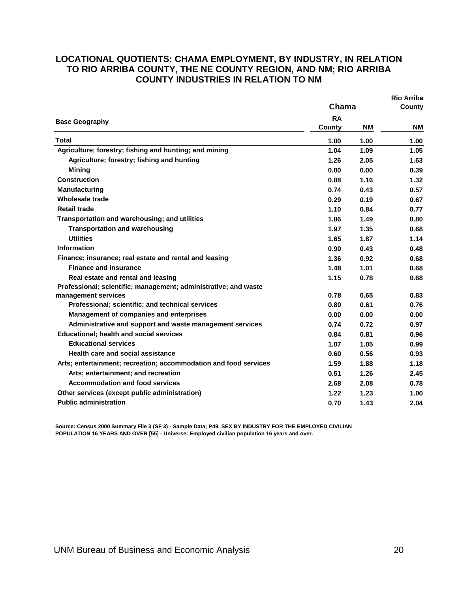#### <span id="page-22-0"></span>**LOCATIONAL QUOTIENTS: CHAMA EMPLOYMENT, BY INDUSTRY, IN RELATION TO RIO ARRIBA COUNTY, THE NE COUNTY REGION, AND NM; RIO ARRIBA COUNTY INDUSTRIES IN RELATION TO NM**

|                                                                  |                     |           | <b>Rio Arriba</b> |  |
|------------------------------------------------------------------|---------------------|-----------|-------------------|--|
|                                                                  | Chama               |           | County            |  |
| <b>Base Geography</b>                                            | <b>RA</b><br>County | <b>NM</b> | <b>NM</b>         |  |
| <b>Total</b>                                                     | 1.00                | 1.00      | 1.00              |  |
| Agriculture; forestry; fishing and hunting; and mining           | 1.04                | 1.09      | 1.05              |  |
| Agriculture; forestry; fishing and hunting                       | 1.26                | 2.05      | 1.63              |  |
| <b>Mining</b>                                                    | 0.00                | 0.00      | 0.39              |  |
| <b>Construction</b>                                              | 0.88                | 1.16      | 1.32              |  |
| <b>Manufacturing</b>                                             | 0.74                | 0.43      | 0.57              |  |
| <b>Wholesale trade</b>                                           | 0.29                | 0.19      | 0.67              |  |
| <b>Retail trade</b>                                              | 1.10                | 0.84      | 0.77              |  |
| Transportation and warehousing; and utilities                    | 1.86                | 1.49      | 0.80              |  |
| <b>Transportation and warehousing</b>                            | 1.97                | 1.35      | 0.68              |  |
| <b>Utilities</b>                                                 | 1.65                | 1.87      | 1.14              |  |
| <b>Information</b>                                               | 0.90                | 0.43      | 0.48              |  |
| Finance; insurance; real estate and rental and leasing           | 1.36                | 0.92      | 0.68              |  |
| <b>Finance and insurance</b>                                     | 1.48                | 1.01      | 0.68              |  |
| Real estate and rental and leasing                               | 1.15                | 0.78      | 0.68              |  |
| Professional; scientific; management; administrative; and waste  |                     |           |                   |  |
| management services                                              | 0.78                | 0.65      | 0.83              |  |
| Professional; scientific; and technical services                 | 0.80                | 0.61      | 0.76              |  |
| <b>Management of companies and enterprises</b>                   | 0.00                | 0.00      | 0.00              |  |
| Administrative and support and waste management services         | 0.74                | 0.72      | 0.97              |  |
| <b>Educational; health and social services</b>                   | 0.84                | 0.81      | 0.96              |  |
| <b>Educational services</b>                                      | 1.07                | 1.05      | 0.99              |  |
| <b>Health care and social assistance</b>                         | 0.60                | 0.56      | 0.93              |  |
| Arts; entertainment; recreation; accommodation and food services | 1.59                | 1.88      | 1.18              |  |
| Arts; entertainment; and recreation                              | 0.51                | 1.26      | 2.45              |  |
| <b>Accommodation and food services</b>                           | 2.68                | 2.08      | 0.78              |  |
| Other services (except public administration)                    | 1.22                | 1.23      | 1.00              |  |
| <b>Public administration</b>                                     | 0.70                | 1.43      | 2.04              |  |

**Source: Census 2000 Summary File 3 (SF 3) - Sample Data; P49. SEX BY INDUSTRY FOR THE EMPLOYED CIVILIAN POPULATION 16 YEARS AND OVER [55] - Universe: Employed civilian population 16 years and over.**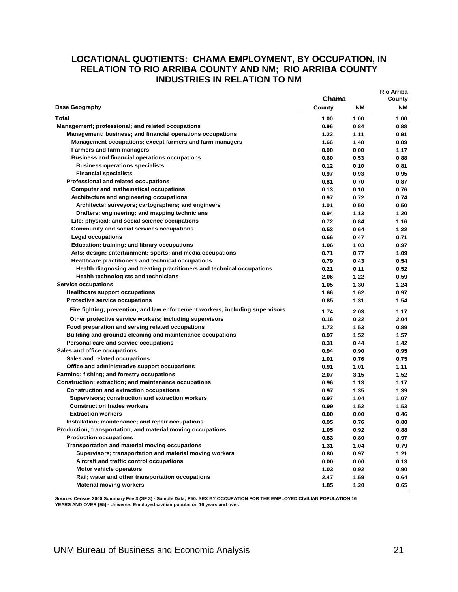#### <span id="page-23-0"></span>**LOCATIONAL QUOTIENTS: CHAMA EMPLOYMENT, BY OCCUPATION, IN RELATION TO RIO ARRIBA COUNTY AND NM; RIO ARRIBA COUNTY INDUSTRIES IN RELATION TO NM**

| <b>Base Geography</b><br><b>NM</b><br>County<br>NM<br>Total<br>1.00<br>1.00<br>1.00<br>Management; professional; and related occupations<br>0.96<br>0.84<br>0.88<br>Management; business; and financial operations occupations<br>1.22<br>1.11<br>0.91<br>Management occupations; except farmers and farm managers<br>1.48<br>0.89<br>1.66<br><b>Farmers and farm managers</b><br>0.00<br>0.00<br>1.17<br><b>Business and financial operations occupations</b><br>0.53<br>0.88<br>0.60<br><b>Business operations specialists</b><br>0.12<br>0.81<br>0.10<br><b>Financial specialists</b><br>0.97<br>0.93<br>0.95<br>Professional and related occupations<br>0.70<br>0.81<br>0.87<br><b>Computer and mathematical occupations</b><br>0.13<br>0.10<br>0.76<br>Architecture and engineering occupations<br>0.72<br>0.74<br>0.97<br>Architects; surveyors; cartographers; and engineers<br>0.50<br>1.01<br>0.50<br>Drafters; engineering; and mapping technicians<br>0.94<br>1.13<br>1.20<br>Life; physical; and social science occupations<br>0.72<br>0.84<br>1.16<br>Community and social services occupations<br>0.53<br>0.64<br>1.22<br><b>Legal occupations</b><br>0.71<br>0.66<br>0.47<br>Education; training; and library occupations<br>0.97<br>1.06<br>1.03<br>Arts; design; entertainment; sports; and media occupations<br>0.71<br>0.77<br>1.09<br>Healthcare practitioners and technical occupations<br>0.79<br>0.43<br>0.54<br>Health diagnosing and treating practitioners and technical occupations<br>0.21<br>0.11<br>0.52<br><b>Health technologists and technicians</b><br>2.06<br>1.22<br>0.59<br><b>Service occupations</b><br>1.05<br>1.30<br>1.24<br><b>Healthcare support occupations</b><br>1.66<br>1.62<br>0.97<br>Protective service occupations<br>1.31<br>1.54<br>0.85<br>Fire fighting; prevention; and law enforcement workers; including supervisors<br>1.74<br>2.03<br>1.17<br>Other protective service workers; including supervisors<br>0.16<br>0.32<br>2.04<br>Food preparation and serving related occupations<br>1.72<br>1.53<br>0.89<br>Building and grounds cleaning and maintenance occupations<br>1.52<br>0.97<br>1.57<br>Personal care and service occupations<br>0.31<br>0.44<br>1.42<br>Sales and office occupations<br>0.90<br>0.95<br>0.94<br>Sales and related occupations<br>0.76<br>0.75<br>1.01<br>Office and administrative support occupations<br>1.01<br>1.11<br>0.91<br>Farming; fishing; and forestry occupations<br>2.07<br>3.15<br>1.52<br>Construction; extraction; and maintenance occupations<br>0.96<br>1.13<br>1.17<br><b>Construction and extraction occupations</b><br>0.97<br>1.35<br>1.39<br>Supervisors; construction and extraction workers<br>1.04<br>0.97<br>1.07<br><b>Construction trades workers</b><br>0.99<br>1.52<br>1.53<br><b>Extraction workers</b><br>0.00<br>0.46<br>0.00<br>Installation; maintenance; and repair occupations<br>0.76<br>0.80<br>0.95<br>Production; transportation; and material moving occupations<br>1.05<br>0.92<br>0.88<br><b>Production occupations</b><br>0.83<br>0.80<br>0.97<br><b>Transportation and material moving occupations</b><br>1.31<br>1.04<br>0.79<br>Supervisors; transportation and material moving workers<br>0.80<br>0.97<br>1.21<br>Aircraft and traffic control occupations<br>0.00<br>0.00<br>0.13<br>Motor vehicle operators<br>1.03<br>0.92<br>0.90<br>Rail; water and other transportation occupations<br>2.47<br>1.59<br>0.64<br><b>Material moving workers</b><br>1.85<br>1.20<br>0.65 | Chama | Rio Arriba<br>County |
|----------------------------------------------------------------------------------------------------------------------------------------------------------------------------------------------------------------------------------------------------------------------------------------------------------------------------------------------------------------------------------------------------------------------------------------------------------------------------------------------------------------------------------------------------------------------------------------------------------------------------------------------------------------------------------------------------------------------------------------------------------------------------------------------------------------------------------------------------------------------------------------------------------------------------------------------------------------------------------------------------------------------------------------------------------------------------------------------------------------------------------------------------------------------------------------------------------------------------------------------------------------------------------------------------------------------------------------------------------------------------------------------------------------------------------------------------------------------------------------------------------------------------------------------------------------------------------------------------------------------------------------------------------------------------------------------------------------------------------------------------------------------------------------------------------------------------------------------------------------------------------------------------------------------------------------------------------------------------------------------------------------------------------------------------------------------------------------------------------------------------------------------------------------------------------------------------------------------------------------------------------------------------------------------------------------------------------------------------------------------------------------------------------------------------------------------------------------------------------------------------------------------------------------------------------------------------------------------------------------------------------------------------------------------------------------------------------------------------------------------------------------------------------------------------------------------------------------------------------------------------------------------------------------------------------------------------------------------------------------------------------------------------------------------------------------------------------------------------------------------------------------------------------------------------------------------------------------------------------------------------------------------------------------------------------------------------------------------------------------------------------------------------------------------------------------------------------------------------------------------------------------------|-------|----------------------|
|                                                                                                                                                                                                                                                                                                                                                                                                                                                                                                                                                                                                                                                                                                                                                                                                                                                                                                                                                                                                                                                                                                                                                                                                                                                                                                                                                                                                                                                                                                                                                                                                                                                                                                                                                                                                                                                                                                                                                                                                                                                                                                                                                                                                                                                                                                                                                                                                                                                                                                                                                                                                                                                                                                                                                                                                                                                                                                                                                                                                                                                                                                                                                                                                                                                                                                                                                                                                                                                                                                                      |       |                      |
|                                                                                                                                                                                                                                                                                                                                                                                                                                                                                                                                                                                                                                                                                                                                                                                                                                                                                                                                                                                                                                                                                                                                                                                                                                                                                                                                                                                                                                                                                                                                                                                                                                                                                                                                                                                                                                                                                                                                                                                                                                                                                                                                                                                                                                                                                                                                                                                                                                                                                                                                                                                                                                                                                                                                                                                                                                                                                                                                                                                                                                                                                                                                                                                                                                                                                                                                                                                                                                                                                                                      |       |                      |
|                                                                                                                                                                                                                                                                                                                                                                                                                                                                                                                                                                                                                                                                                                                                                                                                                                                                                                                                                                                                                                                                                                                                                                                                                                                                                                                                                                                                                                                                                                                                                                                                                                                                                                                                                                                                                                                                                                                                                                                                                                                                                                                                                                                                                                                                                                                                                                                                                                                                                                                                                                                                                                                                                                                                                                                                                                                                                                                                                                                                                                                                                                                                                                                                                                                                                                                                                                                                                                                                                                                      |       |                      |
|                                                                                                                                                                                                                                                                                                                                                                                                                                                                                                                                                                                                                                                                                                                                                                                                                                                                                                                                                                                                                                                                                                                                                                                                                                                                                                                                                                                                                                                                                                                                                                                                                                                                                                                                                                                                                                                                                                                                                                                                                                                                                                                                                                                                                                                                                                                                                                                                                                                                                                                                                                                                                                                                                                                                                                                                                                                                                                                                                                                                                                                                                                                                                                                                                                                                                                                                                                                                                                                                                                                      |       |                      |
|                                                                                                                                                                                                                                                                                                                                                                                                                                                                                                                                                                                                                                                                                                                                                                                                                                                                                                                                                                                                                                                                                                                                                                                                                                                                                                                                                                                                                                                                                                                                                                                                                                                                                                                                                                                                                                                                                                                                                                                                                                                                                                                                                                                                                                                                                                                                                                                                                                                                                                                                                                                                                                                                                                                                                                                                                                                                                                                                                                                                                                                                                                                                                                                                                                                                                                                                                                                                                                                                                                                      |       |                      |
|                                                                                                                                                                                                                                                                                                                                                                                                                                                                                                                                                                                                                                                                                                                                                                                                                                                                                                                                                                                                                                                                                                                                                                                                                                                                                                                                                                                                                                                                                                                                                                                                                                                                                                                                                                                                                                                                                                                                                                                                                                                                                                                                                                                                                                                                                                                                                                                                                                                                                                                                                                                                                                                                                                                                                                                                                                                                                                                                                                                                                                                                                                                                                                                                                                                                                                                                                                                                                                                                                                                      |       |                      |
|                                                                                                                                                                                                                                                                                                                                                                                                                                                                                                                                                                                                                                                                                                                                                                                                                                                                                                                                                                                                                                                                                                                                                                                                                                                                                                                                                                                                                                                                                                                                                                                                                                                                                                                                                                                                                                                                                                                                                                                                                                                                                                                                                                                                                                                                                                                                                                                                                                                                                                                                                                                                                                                                                                                                                                                                                                                                                                                                                                                                                                                                                                                                                                                                                                                                                                                                                                                                                                                                                                                      |       |                      |
|                                                                                                                                                                                                                                                                                                                                                                                                                                                                                                                                                                                                                                                                                                                                                                                                                                                                                                                                                                                                                                                                                                                                                                                                                                                                                                                                                                                                                                                                                                                                                                                                                                                                                                                                                                                                                                                                                                                                                                                                                                                                                                                                                                                                                                                                                                                                                                                                                                                                                                                                                                                                                                                                                                                                                                                                                                                                                                                                                                                                                                                                                                                                                                                                                                                                                                                                                                                                                                                                                                                      |       |                      |
|                                                                                                                                                                                                                                                                                                                                                                                                                                                                                                                                                                                                                                                                                                                                                                                                                                                                                                                                                                                                                                                                                                                                                                                                                                                                                                                                                                                                                                                                                                                                                                                                                                                                                                                                                                                                                                                                                                                                                                                                                                                                                                                                                                                                                                                                                                                                                                                                                                                                                                                                                                                                                                                                                                                                                                                                                                                                                                                                                                                                                                                                                                                                                                                                                                                                                                                                                                                                                                                                                                                      |       |                      |
|                                                                                                                                                                                                                                                                                                                                                                                                                                                                                                                                                                                                                                                                                                                                                                                                                                                                                                                                                                                                                                                                                                                                                                                                                                                                                                                                                                                                                                                                                                                                                                                                                                                                                                                                                                                                                                                                                                                                                                                                                                                                                                                                                                                                                                                                                                                                                                                                                                                                                                                                                                                                                                                                                                                                                                                                                                                                                                                                                                                                                                                                                                                                                                                                                                                                                                                                                                                                                                                                                                                      |       |                      |
|                                                                                                                                                                                                                                                                                                                                                                                                                                                                                                                                                                                                                                                                                                                                                                                                                                                                                                                                                                                                                                                                                                                                                                                                                                                                                                                                                                                                                                                                                                                                                                                                                                                                                                                                                                                                                                                                                                                                                                                                                                                                                                                                                                                                                                                                                                                                                                                                                                                                                                                                                                                                                                                                                                                                                                                                                                                                                                                                                                                                                                                                                                                                                                                                                                                                                                                                                                                                                                                                                                                      |       |                      |
|                                                                                                                                                                                                                                                                                                                                                                                                                                                                                                                                                                                                                                                                                                                                                                                                                                                                                                                                                                                                                                                                                                                                                                                                                                                                                                                                                                                                                                                                                                                                                                                                                                                                                                                                                                                                                                                                                                                                                                                                                                                                                                                                                                                                                                                                                                                                                                                                                                                                                                                                                                                                                                                                                                                                                                                                                                                                                                                                                                                                                                                                                                                                                                                                                                                                                                                                                                                                                                                                                                                      |       |                      |
|                                                                                                                                                                                                                                                                                                                                                                                                                                                                                                                                                                                                                                                                                                                                                                                                                                                                                                                                                                                                                                                                                                                                                                                                                                                                                                                                                                                                                                                                                                                                                                                                                                                                                                                                                                                                                                                                                                                                                                                                                                                                                                                                                                                                                                                                                                                                                                                                                                                                                                                                                                                                                                                                                                                                                                                                                                                                                                                                                                                                                                                                                                                                                                                                                                                                                                                                                                                                                                                                                                                      |       |                      |
|                                                                                                                                                                                                                                                                                                                                                                                                                                                                                                                                                                                                                                                                                                                                                                                                                                                                                                                                                                                                                                                                                                                                                                                                                                                                                                                                                                                                                                                                                                                                                                                                                                                                                                                                                                                                                                                                                                                                                                                                                                                                                                                                                                                                                                                                                                                                                                                                                                                                                                                                                                                                                                                                                                                                                                                                                                                                                                                                                                                                                                                                                                                                                                                                                                                                                                                                                                                                                                                                                                                      |       |                      |
|                                                                                                                                                                                                                                                                                                                                                                                                                                                                                                                                                                                                                                                                                                                                                                                                                                                                                                                                                                                                                                                                                                                                                                                                                                                                                                                                                                                                                                                                                                                                                                                                                                                                                                                                                                                                                                                                                                                                                                                                                                                                                                                                                                                                                                                                                                                                                                                                                                                                                                                                                                                                                                                                                                                                                                                                                                                                                                                                                                                                                                                                                                                                                                                                                                                                                                                                                                                                                                                                                                                      |       |                      |
|                                                                                                                                                                                                                                                                                                                                                                                                                                                                                                                                                                                                                                                                                                                                                                                                                                                                                                                                                                                                                                                                                                                                                                                                                                                                                                                                                                                                                                                                                                                                                                                                                                                                                                                                                                                                                                                                                                                                                                                                                                                                                                                                                                                                                                                                                                                                                                                                                                                                                                                                                                                                                                                                                                                                                                                                                                                                                                                                                                                                                                                                                                                                                                                                                                                                                                                                                                                                                                                                                                                      |       |                      |
|                                                                                                                                                                                                                                                                                                                                                                                                                                                                                                                                                                                                                                                                                                                                                                                                                                                                                                                                                                                                                                                                                                                                                                                                                                                                                                                                                                                                                                                                                                                                                                                                                                                                                                                                                                                                                                                                                                                                                                                                                                                                                                                                                                                                                                                                                                                                                                                                                                                                                                                                                                                                                                                                                                                                                                                                                                                                                                                                                                                                                                                                                                                                                                                                                                                                                                                                                                                                                                                                                                                      |       |                      |
|                                                                                                                                                                                                                                                                                                                                                                                                                                                                                                                                                                                                                                                                                                                                                                                                                                                                                                                                                                                                                                                                                                                                                                                                                                                                                                                                                                                                                                                                                                                                                                                                                                                                                                                                                                                                                                                                                                                                                                                                                                                                                                                                                                                                                                                                                                                                                                                                                                                                                                                                                                                                                                                                                                                                                                                                                                                                                                                                                                                                                                                                                                                                                                                                                                                                                                                                                                                                                                                                                                                      |       |                      |
|                                                                                                                                                                                                                                                                                                                                                                                                                                                                                                                                                                                                                                                                                                                                                                                                                                                                                                                                                                                                                                                                                                                                                                                                                                                                                                                                                                                                                                                                                                                                                                                                                                                                                                                                                                                                                                                                                                                                                                                                                                                                                                                                                                                                                                                                                                                                                                                                                                                                                                                                                                                                                                                                                                                                                                                                                                                                                                                                                                                                                                                                                                                                                                                                                                                                                                                                                                                                                                                                                                                      |       |                      |
|                                                                                                                                                                                                                                                                                                                                                                                                                                                                                                                                                                                                                                                                                                                                                                                                                                                                                                                                                                                                                                                                                                                                                                                                                                                                                                                                                                                                                                                                                                                                                                                                                                                                                                                                                                                                                                                                                                                                                                                                                                                                                                                                                                                                                                                                                                                                                                                                                                                                                                                                                                                                                                                                                                                                                                                                                                                                                                                                                                                                                                                                                                                                                                                                                                                                                                                                                                                                                                                                                                                      |       |                      |
|                                                                                                                                                                                                                                                                                                                                                                                                                                                                                                                                                                                                                                                                                                                                                                                                                                                                                                                                                                                                                                                                                                                                                                                                                                                                                                                                                                                                                                                                                                                                                                                                                                                                                                                                                                                                                                                                                                                                                                                                                                                                                                                                                                                                                                                                                                                                                                                                                                                                                                                                                                                                                                                                                                                                                                                                                                                                                                                                                                                                                                                                                                                                                                                                                                                                                                                                                                                                                                                                                                                      |       |                      |
|                                                                                                                                                                                                                                                                                                                                                                                                                                                                                                                                                                                                                                                                                                                                                                                                                                                                                                                                                                                                                                                                                                                                                                                                                                                                                                                                                                                                                                                                                                                                                                                                                                                                                                                                                                                                                                                                                                                                                                                                                                                                                                                                                                                                                                                                                                                                                                                                                                                                                                                                                                                                                                                                                                                                                                                                                                                                                                                                                                                                                                                                                                                                                                                                                                                                                                                                                                                                                                                                                                                      |       |                      |
|                                                                                                                                                                                                                                                                                                                                                                                                                                                                                                                                                                                                                                                                                                                                                                                                                                                                                                                                                                                                                                                                                                                                                                                                                                                                                                                                                                                                                                                                                                                                                                                                                                                                                                                                                                                                                                                                                                                                                                                                                                                                                                                                                                                                                                                                                                                                                                                                                                                                                                                                                                                                                                                                                                                                                                                                                                                                                                                                                                                                                                                                                                                                                                                                                                                                                                                                                                                                                                                                                                                      |       |                      |
|                                                                                                                                                                                                                                                                                                                                                                                                                                                                                                                                                                                                                                                                                                                                                                                                                                                                                                                                                                                                                                                                                                                                                                                                                                                                                                                                                                                                                                                                                                                                                                                                                                                                                                                                                                                                                                                                                                                                                                                                                                                                                                                                                                                                                                                                                                                                                                                                                                                                                                                                                                                                                                                                                                                                                                                                                                                                                                                                                                                                                                                                                                                                                                                                                                                                                                                                                                                                                                                                                                                      |       |                      |
|                                                                                                                                                                                                                                                                                                                                                                                                                                                                                                                                                                                                                                                                                                                                                                                                                                                                                                                                                                                                                                                                                                                                                                                                                                                                                                                                                                                                                                                                                                                                                                                                                                                                                                                                                                                                                                                                                                                                                                                                                                                                                                                                                                                                                                                                                                                                                                                                                                                                                                                                                                                                                                                                                                                                                                                                                                                                                                                                                                                                                                                                                                                                                                                                                                                                                                                                                                                                                                                                                                                      |       |                      |
|                                                                                                                                                                                                                                                                                                                                                                                                                                                                                                                                                                                                                                                                                                                                                                                                                                                                                                                                                                                                                                                                                                                                                                                                                                                                                                                                                                                                                                                                                                                                                                                                                                                                                                                                                                                                                                                                                                                                                                                                                                                                                                                                                                                                                                                                                                                                                                                                                                                                                                                                                                                                                                                                                                                                                                                                                                                                                                                                                                                                                                                                                                                                                                                                                                                                                                                                                                                                                                                                                                                      |       |                      |
|                                                                                                                                                                                                                                                                                                                                                                                                                                                                                                                                                                                                                                                                                                                                                                                                                                                                                                                                                                                                                                                                                                                                                                                                                                                                                                                                                                                                                                                                                                                                                                                                                                                                                                                                                                                                                                                                                                                                                                                                                                                                                                                                                                                                                                                                                                                                                                                                                                                                                                                                                                                                                                                                                                                                                                                                                                                                                                                                                                                                                                                                                                                                                                                                                                                                                                                                                                                                                                                                                                                      |       |                      |
|                                                                                                                                                                                                                                                                                                                                                                                                                                                                                                                                                                                                                                                                                                                                                                                                                                                                                                                                                                                                                                                                                                                                                                                                                                                                                                                                                                                                                                                                                                                                                                                                                                                                                                                                                                                                                                                                                                                                                                                                                                                                                                                                                                                                                                                                                                                                                                                                                                                                                                                                                                                                                                                                                                                                                                                                                                                                                                                                                                                                                                                                                                                                                                                                                                                                                                                                                                                                                                                                                                                      |       |                      |
|                                                                                                                                                                                                                                                                                                                                                                                                                                                                                                                                                                                                                                                                                                                                                                                                                                                                                                                                                                                                                                                                                                                                                                                                                                                                                                                                                                                                                                                                                                                                                                                                                                                                                                                                                                                                                                                                                                                                                                                                                                                                                                                                                                                                                                                                                                                                                                                                                                                                                                                                                                                                                                                                                                                                                                                                                                                                                                                                                                                                                                                                                                                                                                                                                                                                                                                                                                                                                                                                                                                      |       |                      |
|                                                                                                                                                                                                                                                                                                                                                                                                                                                                                                                                                                                                                                                                                                                                                                                                                                                                                                                                                                                                                                                                                                                                                                                                                                                                                                                                                                                                                                                                                                                                                                                                                                                                                                                                                                                                                                                                                                                                                                                                                                                                                                                                                                                                                                                                                                                                                                                                                                                                                                                                                                                                                                                                                                                                                                                                                                                                                                                                                                                                                                                                                                                                                                                                                                                                                                                                                                                                                                                                                                                      |       |                      |
|                                                                                                                                                                                                                                                                                                                                                                                                                                                                                                                                                                                                                                                                                                                                                                                                                                                                                                                                                                                                                                                                                                                                                                                                                                                                                                                                                                                                                                                                                                                                                                                                                                                                                                                                                                                                                                                                                                                                                                                                                                                                                                                                                                                                                                                                                                                                                                                                                                                                                                                                                                                                                                                                                                                                                                                                                                                                                                                                                                                                                                                                                                                                                                                                                                                                                                                                                                                                                                                                                                                      |       |                      |
|                                                                                                                                                                                                                                                                                                                                                                                                                                                                                                                                                                                                                                                                                                                                                                                                                                                                                                                                                                                                                                                                                                                                                                                                                                                                                                                                                                                                                                                                                                                                                                                                                                                                                                                                                                                                                                                                                                                                                                                                                                                                                                                                                                                                                                                                                                                                                                                                                                                                                                                                                                                                                                                                                                                                                                                                                                                                                                                                                                                                                                                                                                                                                                                                                                                                                                                                                                                                                                                                                                                      |       |                      |
|                                                                                                                                                                                                                                                                                                                                                                                                                                                                                                                                                                                                                                                                                                                                                                                                                                                                                                                                                                                                                                                                                                                                                                                                                                                                                                                                                                                                                                                                                                                                                                                                                                                                                                                                                                                                                                                                                                                                                                                                                                                                                                                                                                                                                                                                                                                                                                                                                                                                                                                                                                                                                                                                                                                                                                                                                                                                                                                                                                                                                                                                                                                                                                                                                                                                                                                                                                                                                                                                                                                      |       |                      |
|                                                                                                                                                                                                                                                                                                                                                                                                                                                                                                                                                                                                                                                                                                                                                                                                                                                                                                                                                                                                                                                                                                                                                                                                                                                                                                                                                                                                                                                                                                                                                                                                                                                                                                                                                                                                                                                                                                                                                                                                                                                                                                                                                                                                                                                                                                                                                                                                                                                                                                                                                                                                                                                                                                                                                                                                                                                                                                                                                                                                                                                                                                                                                                                                                                                                                                                                                                                                                                                                                                                      |       |                      |
|                                                                                                                                                                                                                                                                                                                                                                                                                                                                                                                                                                                                                                                                                                                                                                                                                                                                                                                                                                                                                                                                                                                                                                                                                                                                                                                                                                                                                                                                                                                                                                                                                                                                                                                                                                                                                                                                                                                                                                                                                                                                                                                                                                                                                                                                                                                                                                                                                                                                                                                                                                                                                                                                                                                                                                                                                                                                                                                                                                                                                                                                                                                                                                                                                                                                                                                                                                                                                                                                                                                      |       |                      |
|                                                                                                                                                                                                                                                                                                                                                                                                                                                                                                                                                                                                                                                                                                                                                                                                                                                                                                                                                                                                                                                                                                                                                                                                                                                                                                                                                                                                                                                                                                                                                                                                                                                                                                                                                                                                                                                                                                                                                                                                                                                                                                                                                                                                                                                                                                                                                                                                                                                                                                                                                                                                                                                                                                                                                                                                                                                                                                                                                                                                                                                                                                                                                                                                                                                                                                                                                                                                                                                                                                                      |       |                      |
|                                                                                                                                                                                                                                                                                                                                                                                                                                                                                                                                                                                                                                                                                                                                                                                                                                                                                                                                                                                                                                                                                                                                                                                                                                                                                                                                                                                                                                                                                                                                                                                                                                                                                                                                                                                                                                                                                                                                                                                                                                                                                                                                                                                                                                                                                                                                                                                                                                                                                                                                                                                                                                                                                                                                                                                                                                                                                                                                                                                                                                                                                                                                                                                                                                                                                                                                                                                                                                                                                                                      |       |                      |
|                                                                                                                                                                                                                                                                                                                                                                                                                                                                                                                                                                                                                                                                                                                                                                                                                                                                                                                                                                                                                                                                                                                                                                                                                                                                                                                                                                                                                                                                                                                                                                                                                                                                                                                                                                                                                                                                                                                                                                                                                                                                                                                                                                                                                                                                                                                                                                                                                                                                                                                                                                                                                                                                                                                                                                                                                                                                                                                                                                                                                                                                                                                                                                                                                                                                                                                                                                                                                                                                                                                      |       |                      |
|                                                                                                                                                                                                                                                                                                                                                                                                                                                                                                                                                                                                                                                                                                                                                                                                                                                                                                                                                                                                                                                                                                                                                                                                                                                                                                                                                                                                                                                                                                                                                                                                                                                                                                                                                                                                                                                                                                                                                                                                                                                                                                                                                                                                                                                                                                                                                                                                                                                                                                                                                                                                                                                                                                                                                                                                                                                                                                                                                                                                                                                                                                                                                                                                                                                                                                                                                                                                                                                                                                                      |       |                      |
|                                                                                                                                                                                                                                                                                                                                                                                                                                                                                                                                                                                                                                                                                                                                                                                                                                                                                                                                                                                                                                                                                                                                                                                                                                                                                                                                                                                                                                                                                                                                                                                                                                                                                                                                                                                                                                                                                                                                                                                                                                                                                                                                                                                                                                                                                                                                                                                                                                                                                                                                                                                                                                                                                                                                                                                                                                                                                                                                                                                                                                                                                                                                                                                                                                                                                                                                                                                                                                                                                                                      |       |                      |
|                                                                                                                                                                                                                                                                                                                                                                                                                                                                                                                                                                                                                                                                                                                                                                                                                                                                                                                                                                                                                                                                                                                                                                                                                                                                                                                                                                                                                                                                                                                                                                                                                                                                                                                                                                                                                                                                                                                                                                                                                                                                                                                                                                                                                                                                                                                                                                                                                                                                                                                                                                                                                                                                                                                                                                                                                                                                                                                                                                                                                                                                                                                                                                                                                                                                                                                                                                                                                                                                                                                      |       |                      |
|                                                                                                                                                                                                                                                                                                                                                                                                                                                                                                                                                                                                                                                                                                                                                                                                                                                                                                                                                                                                                                                                                                                                                                                                                                                                                                                                                                                                                                                                                                                                                                                                                                                                                                                                                                                                                                                                                                                                                                                                                                                                                                                                                                                                                                                                                                                                                                                                                                                                                                                                                                                                                                                                                                                                                                                                                                                                                                                                                                                                                                                                                                                                                                                                                                                                                                                                                                                                                                                                                                                      |       |                      |
|                                                                                                                                                                                                                                                                                                                                                                                                                                                                                                                                                                                                                                                                                                                                                                                                                                                                                                                                                                                                                                                                                                                                                                                                                                                                                                                                                                                                                                                                                                                                                                                                                                                                                                                                                                                                                                                                                                                                                                                                                                                                                                                                                                                                                                                                                                                                                                                                                                                                                                                                                                                                                                                                                                                                                                                                                                                                                                                                                                                                                                                                                                                                                                                                                                                                                                                                                                                                                                                                                                                      |       |                      |
|                                                                                                                                                                                                                                                                                                                                                                                                                                                                                                                                                                                                                                                                                                                                                                                                                                                                                                                                                                                                                                                                                                                                                                                                                                                                                                                                                                                                                                                                                                                                                                                                                                                                                                                                                                                                                                                                                                                                                                                                                                                                                                                                                                                                                                                                                                                                                                                                                                                                                                                                                                                                                                                                                                                                                                                                                                                                                                                                                                                                                                                                                                                                                                                                                                                                                                                                                                                                                                                                                                                      |       |                      |
|                                                                                                                                                                                                                                                                                                                                                                                                                                                                                                                                                                                                                                                                                                                                                                                                                                                                                                                                                                                                                                                                                                                                                                                                                                                                                                                                                                                                                                                                                                                                                                                                                                                                                                                                                                                                                                                                                                                                                                                                                                                                                                                                                                                                                                                                                                                                                                                                                                                                                                                                                                                                                                                                                                                                                                                                                                                                                                                                                                                                                                                                                                                                                                                                                                                                                                                                                                                                                                                                                                                      |       |                      |
|                                                                                                                                                                                                                                                                                                                                                                                                                                                                                                                                                                                                                                                                                                                                                                                                                                                                                                                                                                                                                                                                                                                                                                                                                                                                                                                                                                                                                                                                                                                                                                                                                                                                                                                                                                                                                                                                                                                                                                                                                                                                                                                                                                                                                                                                                                                                                                                                                                                                                                                                                                                                                                                                                                                                                                                                                                                                                                                                                                                                                                                                                                                                                                                                                                                                                                                                                                                                                                                                                                                      |       |                      |
|                                                                                                                                                                                                                                                                                                                                                                                                                                                                                                                                                                                                                                                                                                                                                                                                                                                                                                                                                                                                                                                                                                                                                                                                                                                                                                                                                                                                                                                                                                                                                                                                                                                                                                                                                                                                                                                                                                                                                                                                                                                                                                                                                                                                                                                                                                                                                                                                                                                                                                                                                                                                                                                                                                                                                                                                                                                                                                                                                                                                                                                                                                                                                                                                                                                                                                                                                                                                                                                                                                                      |       |                      |
|                                                                                                                                                                                                                                                                                                                                                                                                                                                                                                                                                                                                                                                                                                                                                                                                                                                                                                                                                                                                                                                                                                                                                                                                                                                                                                                                                                                                                                                                                                                                                                                                                                                                                                                                                                                                                                                                                                                                                                                                                                                                                                                                                                                                                                                                                                                                                                                                                                                                                                                                                                                                                                                                                                                                                                                                                                                                                                                                                                                                                                                                                                                                                                                                                                                                                                                                                                                                                                                                                                                      |       |                      |
|                                                                                                                                                                                                                                                                                                                                                                                                                                                                                                                                                                                                                                                                                                                                                                                                                                                                                                                                                                                                                                                                                                                                                                                                                                                                                                                                                                                                                                                                                                                                                                                                                                                                                                                                                                                                                                                                                                                                                                                                                                                                                                                                                                                                                                                                                                                                                                                                                                                                                                                                                                                                                                                                                                                                                                                                                                                                                                                                                                                                                                                                                                                                                                                                                                                                                                                                                                                                                                                                                                                      |       |                      |

**Source: Census 2000 Summary File 3 (SF 3) - Sample Data; P50. SEX BY OCCUPATION FOR THE EMPLOYED CIVILIAN POPULATION 16 YEARS AND OVER [95] - Universe: Employed civilian population 16 years and over.**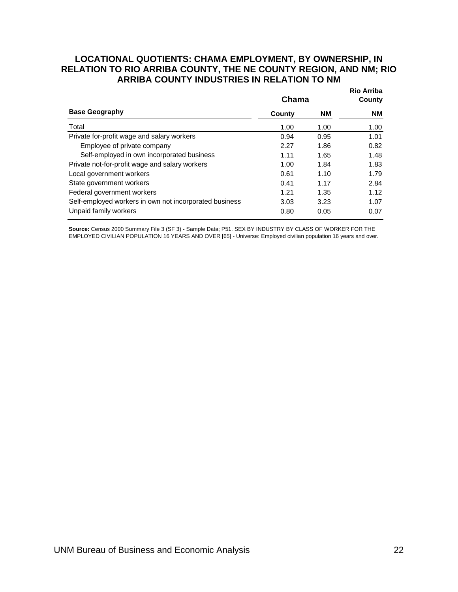#### <span id="page-24-0"></span>**Rio Arriba LOCATIONAL QUOTIENTS: CHAMA EMPLOYMENT, BY OWNERSHIP, IN RELATION TO RIO ARRIBA COUNTY, THE NE COUNTY REGION, AND NM; RIO ARRIBA COUNTY INDUSTRIES IN RELATION TO NM**

|                                                        | Chama  | NIU MITIUA<br>County |      |
|--------------------------------------------------------|--------|----------------------|------|
| <b>Base Geography</b>                                  | County | <b>NM</b>            | NM   |
| Total                                                  | 1.00   | 1.00                 | 1.00 |
| Private for-profit wage and salary workers             | 0.94   | 0.95                 | 1.01 |
| Employee of private company                            | 2.27   | 1.86                 | 0.82 |
| Self-employed in own incorporated business             | 1.11   | 1.65                 | 1.48 |
| Private not-for-profit wage and salary workers         | 1.00   | 1.84                 | 1.83 |
| Local government workers                               | 0.61   | 1.10                 | 1.79 |
| State government workers                               | 0.41   | 1.17                 | 2.84 |
| Federal government workers                             | 1.21   | 1.35                 | 1.12 |
| Self-employed workers in own not incorporated business | 3.03   | 3.23                 | 1.07 |
| Unpaid family workers                                  | 0.80   | 0.05                 | 0.07 |

Source: Census 2000 Summary File 3 (SF 3) - Sample Data; P51. SEX BY INDUSTRY BY CLASS OF WORKER FOR THE EMPLOYED CIVILIAN POPULATION 16 YEARS AND OVER [65] - Universe: Employed civilian population 16 years and over.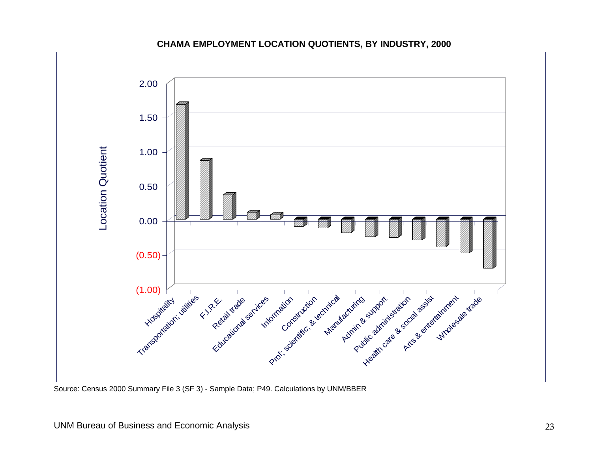

#### **CHAMA EMPLOYMENT LOCATION QUOTIENTS, BY INDUSTRY, 2000**

<span id="page-25-0"></span>Source: Census 2000 Summary File 3 (SF 3) - Sample Data; P49. Calculations by UNM/BBER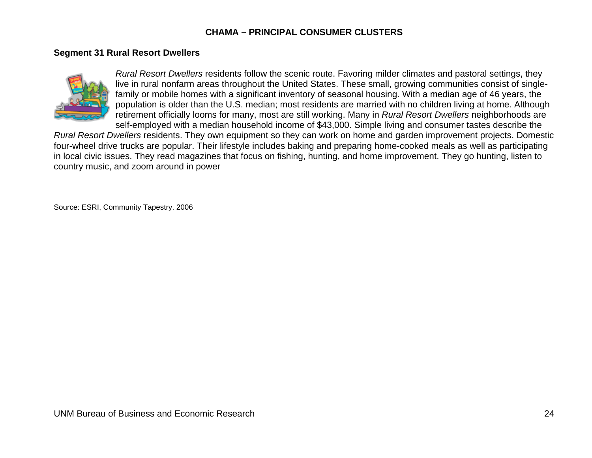#### **CHAMA – PRINCIPAL CONSUMER CLUSTERS**

#### **Segment 31 Rural Resort Dwellers**



*Rural Resort Dwellers* residents follow the scenic route. Favoring milder climates and pastoral settings, they live in rural nonfarm areas throughout the United States. These small, growing communities consist of singlefamily or mobile homes with a significant inventory of seasonal housing. With a median age of 46 years, the population is older than the U.S. median; most residents are married with no children living at home. Although retirement officially looms for many, most are still working. Many in *Rural Resort Dwellers* neighborhoods are self-employed with a median household income of \$43,000. Simple living and consumer tastes describe the

*Rural Resort Dwellers* residents. They own equipment so they can work on home and garden improvement projects. Domestic four-wheel drive trucks are popular. Their lifestyle includes baking and preparing home-cooked meals as well as participating in local civic issues. They read magazines that focus on fishing, hunting, and home improvement. They go hunting, listen to country music, and zoom around in power

<span id="page-26-0"></span>Source: ESRI, Community Tapestry. 2006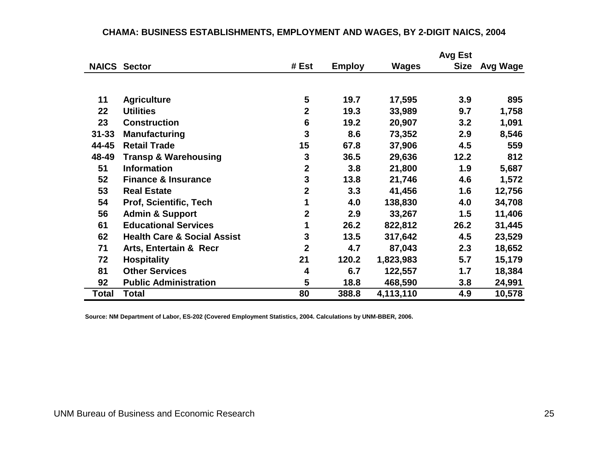|           |                                        |                |               |              | <b>Avg Est</b> |          |
|-----------|----------------------------------------|----------------|---------------|--------------|----------------|----------|
|           | <b>NAICS Sector</b>                    | # Est          | <b>Employ</b> | <b>Wages</b> | <b>Size</b>    | Avg Wage |
|           |                                        |                |               |              |                |          |
| 11        | <b>Agriculture</b>                     | 5              | 19.7          | 17,595       | 3.9            | 895      |
| 22        | <b>Utilities</b>                       | $\overline{2}$ | 19.3          | 33,989       | 9.7            | 1,758    |
| 23        | <b>Construction</b>                    | $6\phantom{1}$ | 19.2          | 20,907       | 3.2            | 1,091    |
| $31 - 33$ | <b>Manufacturing</b>                   | 3              | 8.6           | 73,352       | 2.9            | 8,546    |
| 44-45     | <b>Retail Trade</b>                    | 15             | 67.8          | 37,906       | 4.5            | 559      |
| 48-49     | <b>Transp &amp; Warehousing</b>        | 3              | 36.5          | 29,636       | 12.2           | 812      |
| 51        | <b>Information</b>                     | $\overline{2}$ | 3.8           | 21,800       | 1.9            | 5,687    |
| 52        | <b>Finance &amp; Insurance</b>         | 3              | 13.8          | 21,746       | 4.6            | 1,572    |
| 53        | <b>Real Estate</b>                     | $\overline{2}$ | 3.3           | 41,456       | 1.6            | 12,756   |
| 54        | Prof, Scientific, Tech                 |                | 4.0           | 138,830      | 4.0            | 34,708   |
| 56        | <b>Admin &amp; Support</b>             | $\mathbf{2}$   | 2.9           | 33,267       | 1.5            | 11,406   |
| 61        | <b>Educational Services</b>            | 1              | 26.2          | 822,812      | 26.2           | 31,445   |
| 62        | <b>Health Care &amp; Social Assist</b> | 3              | 13.5          | 317,642      | 4.5            | 23,529   |
| 71        | <b>Arts, Entertain &amp; Recr</b>      | $\overline{2}$ | 4.7           | 87,043       | 2.3            | 18,652   |
| 72        | <b>Hospitality</b>                     | 21             | 120.2         | 1,823,983    | 5.7            | 15,179   |
| 81        | <b>Other Services</b>                  | 4              | 6.7           | 122,557      | 1.7            | 18,384   |
| 92        | <b>Public Administration</b>           | 5              | 18.8          | 468,590      | 3.8            | 24,991   |
| Total     | <b>Total</b>                           | 80             | 388.8         | 4,113,110    | 4.9            | 10,578   |

#### **CHAMA: BUSINESS ESTABLISHMENTS, EMPLOYMENT AND WAGES, BY 2-DIGIT NAICS, 2004**

<span id="page-27-0"></span>**Source: NM Department of Labor, ES-202 (Covered Employment Statistics, 2004. Calculations by UNM-BBER, 2006.**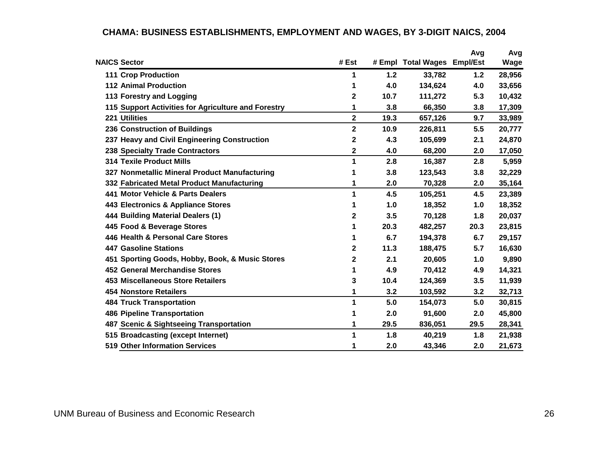<span id="page-28-0"></span>

|                                                     |                         |       |                             | Avg  | Avg    |
|-----------------------------------------------------|-------------------------|-------|-----------------------------|------|--------|
| <b>NAICS Sector</b>                                 | # Est                   |       | # Empl Total Wages Empl/Est |      | Wage   |
| <b>111 Crop Production</b>                          | 1                       | $1.2$ | 33,782                      | 1.2  | 28,956 |
| <b>112 Animal Production</b>                        | 1                       | 4.0   | 134,624                     | 4.0  | 33,656 |
| 113 Forestry and Logging                            | 2                       | 10.7  | 111,272                     | 5.3  | 10,432 |
| 115 Support Activities for Agriculture and Forestry | 1                       | 3.8   | 66,350                      | 3.8  | 17,309 |
| 221 Utilities                                       | $\overline{\mathbf{2}}$ | 19.3  | 657,126                     | 9.7  | 33,989 |
| 236 Construction of Buildings                       | $\mathbf{2}$            | 10.9  | 226,811                     | 5.5  | 20,777 |
| 237 Heavy and Civil Engineering Construction        | 2                       | 4.3   | 105,699                     | 2.1  | 24,870 |
| <b>238 Specialty Trade Contractors</b>              | 2                       | 4.0   | 68,200                      | 2.0  | 17,050 |
| <b>314 Texile Product Mills</b>                     | 1                       | 2.8   | 16,387                      | 2.8  | 5,959  |
| 327 Nonmetallic Mineral Product Manufacturing       | 1                       | 3.8   | 123,543                     | 3.8  | 32,229 |
| 332 Fabricated Metal Product Manufacturing          | 1                       | 2.0   | 70,328                      | 2.0  | 35,164 |
| 441 Motor Vehicle & Parts Dealers                   | 1                       | 4.5   | 105,251                     | 4.5  | 23,389 |
| 443 Electronics & Appliance Stores                  | 1                       | 1.0   | 18,352                      | 1.0  | 18,352 |
| 444 Building Material Dealers (1)                   | 2                       | 3.5   | 70,128                      | 1.8  | 20,037 |
| 445 Food & Beverage Stores                          | 1                       | 20.3  | 482,257                     | 20.3 | 23,815 |
| 446 Health & Personal Care Stores                   | 1                       | 6.7   | 194,378                     | 6.7  | 29,157 |
| <b>447 Gasoline Stations</b>                        | 2                       | 11.3  | 188,475                     | 5.7  | 16,630 |
| 451 Sporting Goods, Hobby, Book, & Music Stores     | 2                       | 2.1   | 20,605                      | 1.0  | 9,890  |
| <b>452 General Merchandise Stores</b>               | 1                       | 4.9   | 70,412                      | 4.9  | 14,321 |
| <b>453 Miscellaneous Store Retailers</b>            | 3                       | 10.4  | 124,369                     | 3.5  | 11,939 |
| <b>454 Nonstore Retailers</b>                       | 1                       | 3.2   | 103,592                     | 3.2  | 32,713 |
| <b>484 Truck Transportation</b>                     | 1                       | 5.0   | 154,073                     | 5.0  | 30,815 |
| <b>486 Pipeline Transportation</b>                  | 1                       | 2.0   | 91,600                      | 2.0  | 45,800 |
| 487 Scenic & Sightseeing Transportation             | 1                       | 29.5  | 836,051                     | 29.5 | 28,341 |
| 515 Broadcasting (except Internet)                  | 1                       | 1.8   | 40,219                      | 1.8  | 21,938 |
| <b>519 Other Information Services</b>               | 1                       | 2.0   | 43,346                      | 2.0  | 21,673 |

# **CHAMA: BUSINESS ESTABLISHMENTS, EMPLOYMENT AND WAGES, BY 3-DIGIT NAICS, 2004**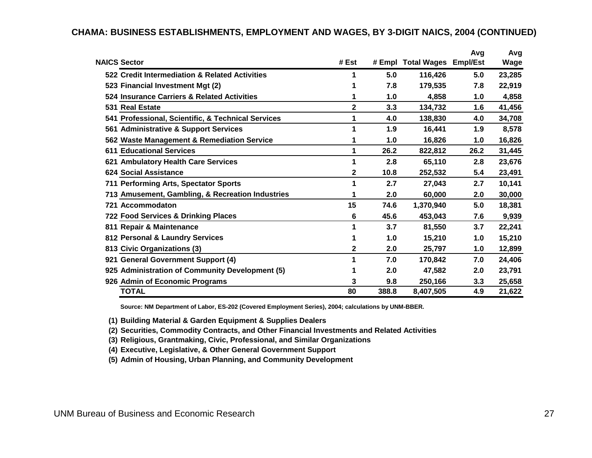|                                                    |       |       |                             | Avg  | Avg    |
|----------------------------------------------------|-------|-------|-----------------------------|------|--------|
| <b>NAICS Sector</b>                                | # Est |       | # Empl Total Wages Empl/Est |      | Wage   |
| 522 Credit Intermediation & Related Activities     |       | 5.0   | 116,426                     | 5.0  | 23,285 |
| 523 Financial Investment Mgt (2)                   |       | 7.8   | 179,535                     | 7.8  | 22,919 |
| 524 Insurance Carriers & Related Activities        | 1     | 1.0   | 4,858                       | 1.0  | 4,858  |
| 531 Real Estate                                    | 2     | 3.3   | 134,732                     | 1.6  | 41,456 |
| 541 Professional, Scientific, & Technical Services | 1     | 4.0   | 138,830                     | 4.0  | 34,708 |
| 561 Administrative & Support Services              |       | 1.9   | 16,441                      | 1.9  | 8,578  |
| 562 Waste Management & Remediation Service         |       | 1.0   | 16,826                      | 1.0  | 16,826 |
| <b>611 Educational Services</b>                    | 1     | 26.2  | 822,812                     | 26.2 | 31,445 |
| 621 Ambulatory Health Care Services                |       | 2.8   | 65,110                      | 2.8  | 23,676 |
| <b>624 Social Assistance</b>                       | 2     | 10.8  | 252,532                     | 5.4  | 23,491 |
| 711 Performing Arts, Spectator Sports              |       | 2.7   | 27,043                      | 2.7  | 10,141 |
| 713 Amusement, Gambling, & Recreation Industries   |       | 2.0   | 60,000                      | 2.0  | 30,000 |
| 721 Accommodaton                                   | 15    | 74.6  | 1,370,940                   | 5.0  | 18,381 |
| 722 Food Services & Drinking Places                | 6     | 45.6  | 453,043                     | 7.6  | 9,939  |
| 811 Repair & Maintenance                           |       | 3.7   | 81,550                      | 3.7  | 22,241 |
| 812 Personal & Laundry Services                    |       | 1.0   | 15,210                      | 1.0  | 15,210 |
| 813 Civic Organizations (3)                        | 2     | 2.0   | 25,797                      | 1.0  | 12,899 |
| 921 General Government Support (4)                 |       | 7.0   | 170,842                     | 7.0  | 24,406 |
| 925 Administration of Community Development (5)    |       | 2.0   | 47,582                      | 2.0  | 23,791 |
| 926 Admin of Economic Programs                     | 3     | 9.8   | 250,166                     | 3.3  | 25,658 |
| <b>TOTAL</b>                                       | 80    | 388.8 | 8,407,505                   | 4.9  | 21,622 |

#### **CHAMA: BUSINESS ESTABLISHMENTS, EMPLOYMENT AND WAGES, BY 3-DIGIT NAICS, 2004 (CONTINUED)**

**Source: NM Department of Labor, ES-202 (Covered Employment Series), 2004; calculations by UNM-BBER.**

**(1) Building Material & Garden Equipment & Supplies Dealers**

**(2) Securities, Commodity Contracts, and Other Financial Investments and Related Activities**

**(3) Religious, Grantmaking, Civic, Professional, and Similar Organizations**

**(4) Executive, Legislative, & Other General Government Support**

**(5) Admin of Housing, Urban Planning, and Community Development**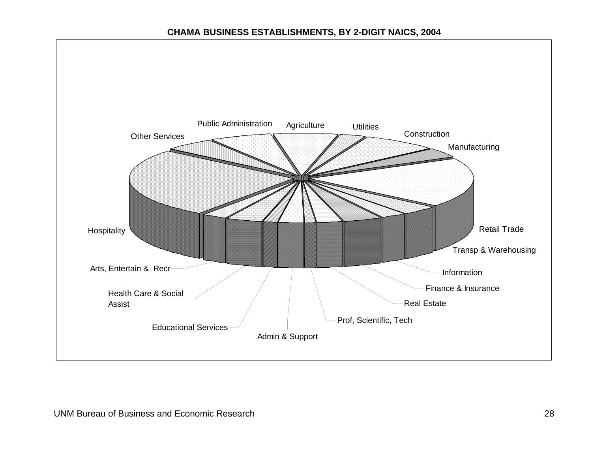#### **CHAMA BUSINESS ESTABLISHMENTS, BY 2-DIGIT NAICS, 2004**

<span id="page-30-0"></span>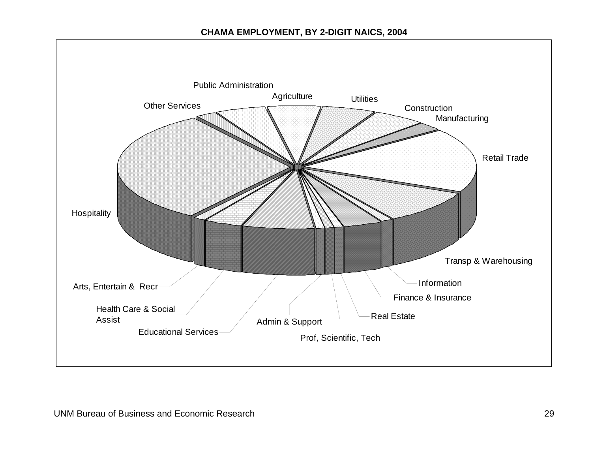#### **CHAMA EMPLOYMENT, BY 2-DIGIT NAICS, 2004**

<span id="page-31-0"></span>![](_page_31_Figure_1.jpeg)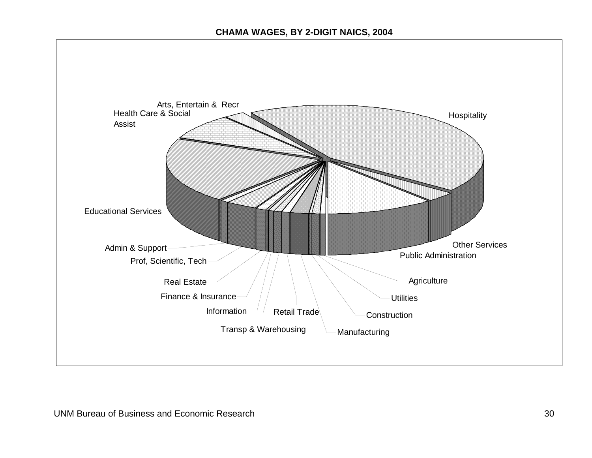<span id="page-32-0"></span>![](_page_32_Figure_1.jpeg)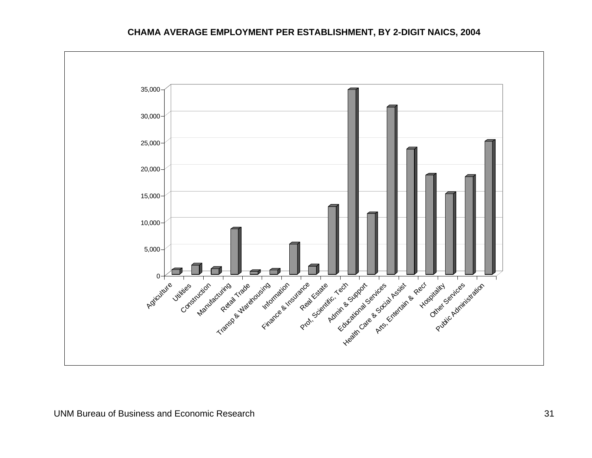#### **CHAMA AVERAGE EMPLOYMENT PER ESTABLISHMENT, BY 2-DIGIT NAICS, 2004**

<span id="page-33-0"></span>![](_page_33_Figure_1.jpeg)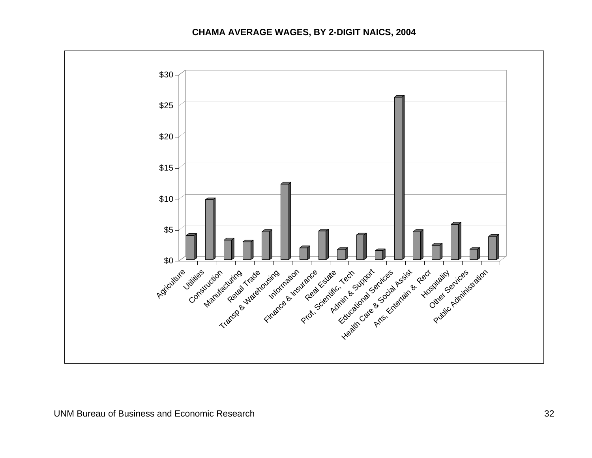#### **CHAMA AVERAGE WAGES, BY 2-DIGIT NAICS, 2004**

<span id="page-34-0"></span>![](_page_34_Figure_1.jpeg)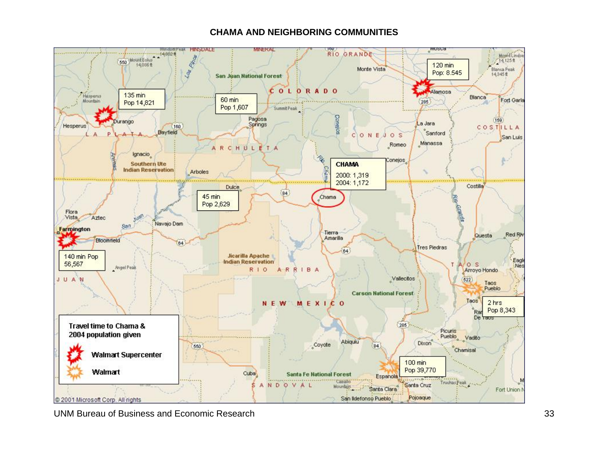#### **CHAMA AND NEIGHBORING COMMUNITIES**

<span id="page-35-0"></span>![](_page_35_Picture_1.jpeg)

UNM Bureau of Business and Economic Research 33 and 33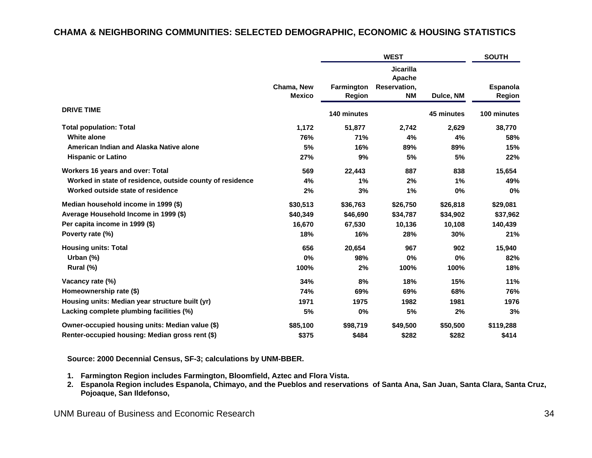#### **CHAMA & NEIGHBORING COMMUNITIES: SELECTED DEMOGRAPHIC, ECONOMIC & HOUSING STATISTICS**

|                                                           |                             |                             | <b>SOUTH</b>                                            |            |                           |
|-----------------------------------------------------------|-----------------------------|-----------------------------|---------------------------------------------------------|------------|---------------------------|
|                                                           | Chama, New<br><b>Mexico</b> | Farmington<br><b>Region</b> | <b>Jicarilla</b><br>Apache<br>Reservation,<br><b>NM</b> | Dulce, NM  | <b>Espanola</b><br>Region |
| <b>DRIVE TIME</b>                                         |                             | 140 minutes                 |                                                         | 45 minutes | 100 minutes               |
| <b>Total population: Total</b>                            | 1,172                       | 51,877                      | 2,742                                                   | 2,629      | 38,770                    |
| <b>White alone</b>                                        | 76%                         | 71%                         | 4%                                                      | 4%         | 58%                       |
| American Indian and Alaska Native alone                   | 5%                          | 16%                         | 89%                                                     | 89%        | 15%                       |
| <b>Hispanic or Latino</b>                                 | 27%                         | 9%                          | 5%                                                      | 5%         | 22%                       |
| Workers 16 years and over: Total                          | 569                         | 22,443                      | 887                                                     | 838        | 15,654                    |
| Worked in state of residence, outside county of residence | 4%                          | 1%                          | 2%                                                      | 1%         | 49%                       |
| Worked outside state of residence                         | 2%                          | 3%                          | 1%                                                      | 0%         | 0%                        |
| Median household income in 1999 (\$)                      | \$30,513                    | \$36,763                    | \$26,750                                                | \$26,818   | \$29,081                  |
| Average Household Income in 1999 (\$)                     | \$40,349                    | \$46,690                    | \$34,787                                                | \$34,902   | \$37,962                  |
| Per capita income in 1999 (\$)                            | 16,670                      | 67,530                      | 10,136                                                  | 10,108     | 140,439                   |
| Poverty rate (%)                                          | 18%                         | 16%                         | 28%                                                     | 30%        | 21%                       |
| <b>Housing units: Total</b>                               | 656                         | 20,654                      | 967                                                     | 902        | 15,940                    |
| Urban $(\%)$                                              | 0%                          | 98%                         | 0%                                                      | 0%         | 82%                       |
| Rural (%)                                                 | 100%                        | 2%                          | 100%                                                    | 100%       | 18%                       |
| Vacancy rate (%)                                          | 34%                         | 8%                          | 18%                                                     | 15%        | 11%                       |
| Homeownership rate (\$)                                   | 74%                         | 69%                         | 69%                                                     | 68%        | 76%                       |
| Housing units: Median year structure built (yr)           | 1971                        | 1975                        | 1982                                                    | 1981       | 1976                      |
| Lacking complete plumbing facilities (%)                  | 5%                          | 0%                          | 5%                                                      | 2%         | 3%                        |
| Owner-occupied housing units: Median value (\$)           | \$85,100                    | \$98,719                    | \$49,500                                                | \$50,500   | \$119,288                 |
| Renter-occupied housing: Median gross rent (\$)           | \$375                       | \$484                       | \$282                                                   | \$282      | \$414                     |

**Source: 2000 Decennial Census, SF-3; calculations by UNM-BBER.** 

- **1. Farmington Region includes Farmington, Bloomfield, Aztec and Flora Vista.**
- **2. Espanola Region includes Espanola, Chimayo, and the Pueblos and reservations of Santa Ana, San Juan, Santa Clara, Santa Cruz, Pojoaque, San Ildefonso,**

#### <span id="page-36-0"></span>UNM Bureau of Business and Economic Research 34